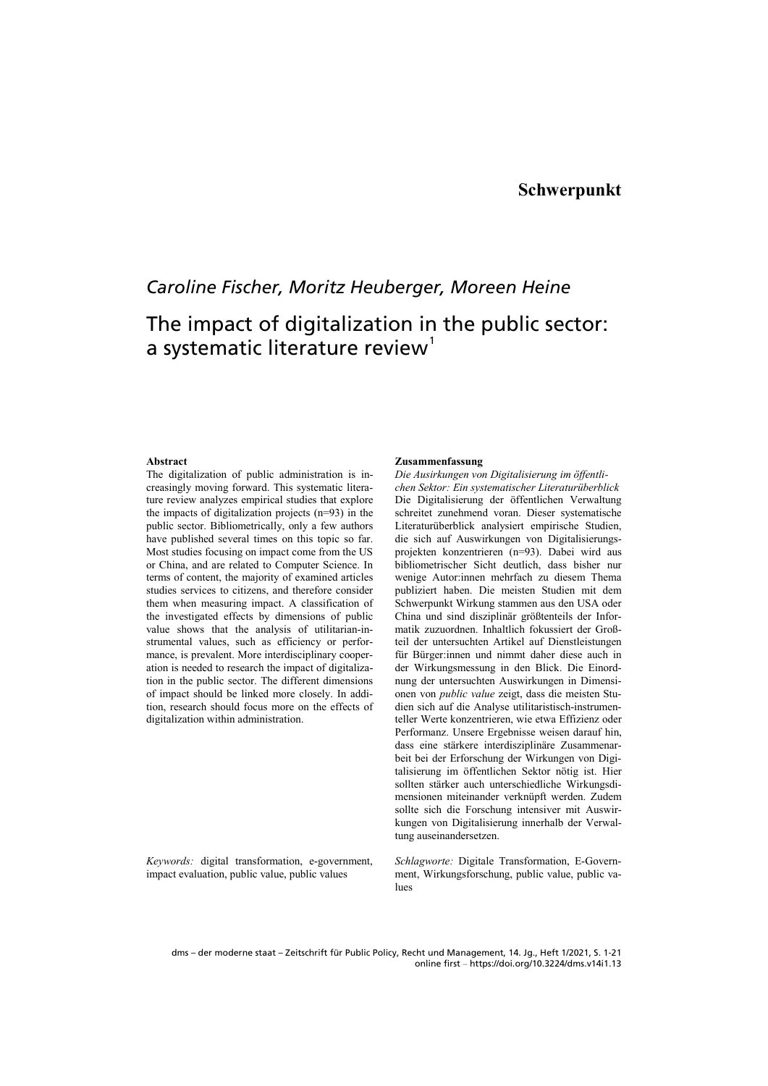## *Caroline Fischer, Moritz Heuberger, Moreen Heine*

# The impact of digitalization in the public sector: a systematic literature review<sup>[1](#page-16-0)</sup>

#### **Abstract**

The digitalization of public administration is increasingly moving forward. This systematic literature review analyzes empirical studies that explore the impacts of digitalization projects (n=93) in the public sector. Bibliometrically, only a few authors have published several times on this topic so far. Most studies focusing on impact come from the US or China, and are related to Computer Science. In terms of content, the majority of examined articles studies services to citizens, and therefore consider them when measuring impact. A classification of the investigated effects by dimensions of public value shows that the analysis of utilitarian-instrumental values, such as efficiency or performance, is prevalent. More interdisciplinary cooperation is needed to research the impact of digitalization in the public sector. The different dimensions of impact should be linked more closely. In addition, research should focus more on the effects of digitalization within administration.

*Keywords:* digital transformation, e-government, impact evaluation, public value, public values

#### **Zusammenfassung**

*Die Ausirkungen von Digitalisierung im öffentlichen Sektor: Ein systematischer Literaturüberblick*  Die Digitalisierung der öffentlichen Verwaltung schreitet zunehmend voran. Dieser systematische Literaturüberblick analysiert empirische Studien, die sich auf Auswirkungen von Digitalisierungsprojekten konzentrieren (n=93). Dabei wird aus bibliometrischer Sicht deutlich, dass bisher nur wenige Autor:innen mehrfach zu diesem Thema publiziert haben. Die meisten Studien mit dem Schwerpunkt Wirkung stammen aus den USA oder China und sind disziplinär größtenteils der Informatik zuzuordnen. Inhaltlich fokussiert der Großteil der untersuchten Artikel auf Dienstleistungen für Bürger:innen und nimmt daher diese auch in der Wirkungsmessung in den Blick. Die Einordnung der untersuchten Auswirkungen in Dimensionen von *public value* zeigt, dass die meisten Studien sich auf die Analyse utilitaristisch-instrumenteller Werte konzentrieren, wie etwa Effizienz oder Performanz. Unsere Ergebnisse weisen darauf hin, dass eine stärkere interdisziplinäre Zusammenarbeit bei der Erforschung der Wirkungen von Digitalisierung im öffentlichen Sektor nötig ist. Hier sollten stärker auch unterschiedliche Wirkungsdimensionen miteinander verknüpft werden. Zudem sollte sich die Forschung intensiver mit Auswirkungen von Digitalisierung innerhalb der Verwaltung auseinandersetzen.

*Schlagworte:* Digitale Transformation, E-Government, Wirkungsforschung, public value, public values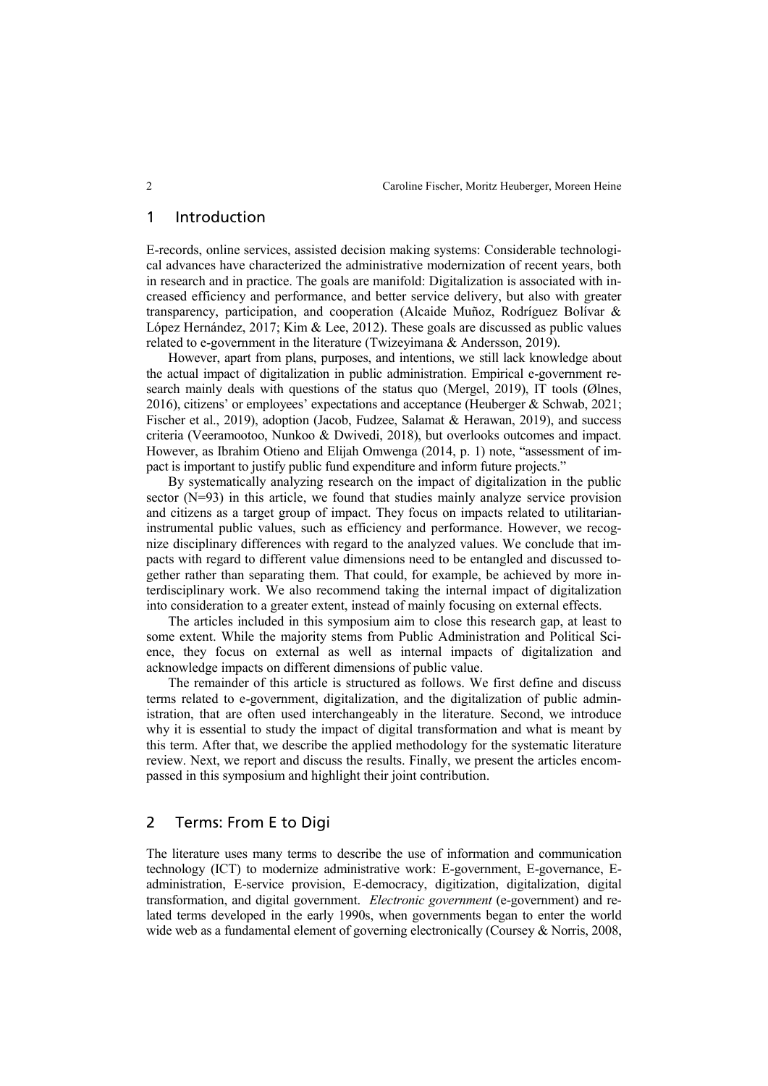#### 1 Introduction

E-records, online services, assisted decision making systems: Considerable technological advances have characterized the administrative modernization of recent years, both in research and in practice. The goals are manifold: Digitalization is associated with increased efficiency and performance, and better service delivery, but also with greater transparency, participation, and cooperation (Alcaide Muñoz, Rodríguez Bolívar & López Hernández, 2017; Kim & Lee, 2012). These goals are discussed as public values related to e-government in the literature (Twizeyimana & Andersson, 2019).

However, apart from plans, purposes, and intentions, we still lack knowledge about the actual impact of digitalization in public administration. Empirical e-government research mainly deals with questions of the status quo (Mergel, 2019), IT tools (Ølnes, 2016), citizens' or employees' expectations and acceptance (Heuberger & Schwab, 2021; Fischer et al., 2019), adoption (Jacob, Fudzee, Salamat & Herawan, 2019), and success criteria (Veeramootoo, Nunkoo & Dwivedi, 2018), but overlooks outcomes and impact. However, as Ibrahim Otieno and Elijah Omwenga (2014, p. 1) note, "assessment of impact is important to justify public fund expenditure and inform future projects."

By systematically analyzing research on the impact of digitalization in the public sector (N=93) in this article, we found that studies mainly analyze service provision and citizens as a target group of impact. They focus on impacts related to utilitarianinstrumental public values, such as efficiency and performance. However, we recognize disciplinary differences with regard to the analyzed values. We conclude that impacts with regard to different value dimensions need to be entangled and discussed together rather than separating them. That could, for example, be achieved by more interdisciplinary work. We also recommend taking the internal impact of digitalization into consideration to a greater extent, instead of mainly focusing on external effects.

The articles included in this symposium aim to close this research gap, at least to some extent. While the majority stems from Public Administration and Political Science, they focus on external as well as internal impacts of digitalization and acknowledge impacts on different dimensions of public value.

The remainder of this article is structured as follows. We first define and discuss terms related to e-government, digitalization, and the digitalization of public administration, that are often used interchangeably in the literature. Second, we introduce why it is essential to study the impact of digital transformation and what is meant by this term. After that, we describe the applied methodology for the systematic literature review. Next, we report and discuss the results. Finally, we present the articles encompassed in this symposium and highlight their joint contribution.

#### 2 Terms: From E to Digi

The literature uses many terms to describe the use of information and communication technology (ICT) to modernize administrative work: E-government, E-governance, Eadministration, E-service provision, E-democracy, digitization, digitalization, digital transformation, and digital government. *Electronic government* (e-government) and related terms developed in the early 1990s, when governments began to enter the world wide web as a fundamental element of governing electronically (Coursey & Norris, 2008,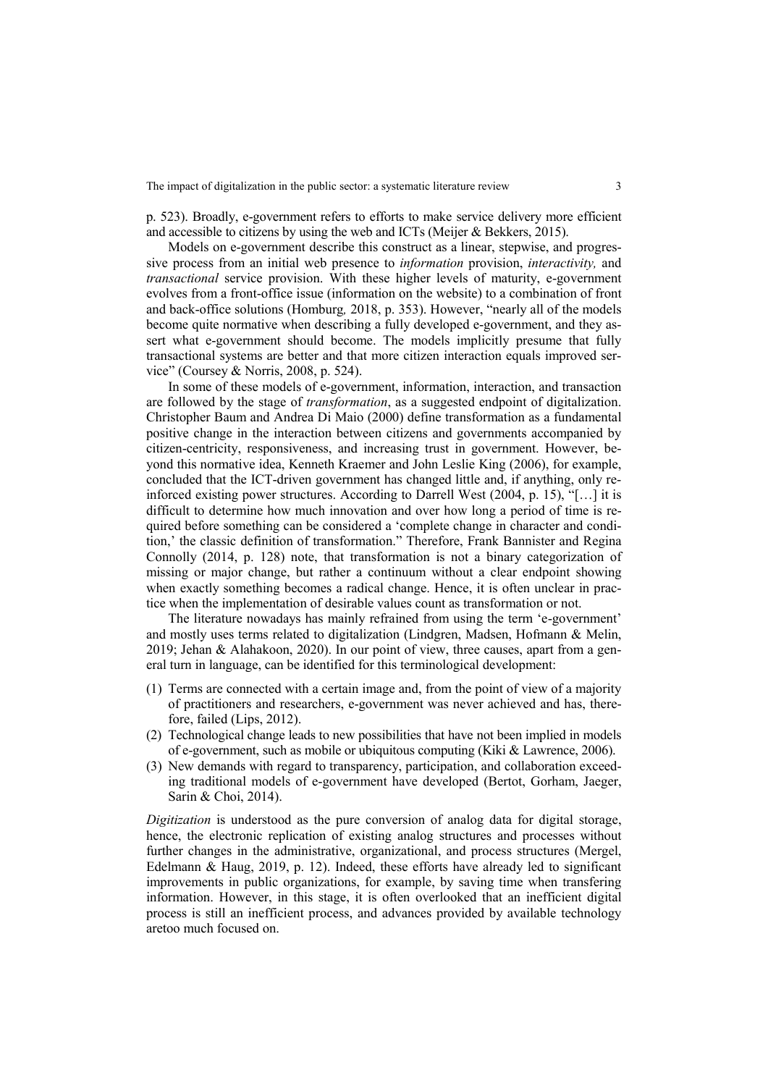p. 523). Broadly, e-government refers to efforts to make service delivery more efficient and accessible to citizens by using the web and ICTs (Meijer & Bekkers, 2015).

Models on e-government describe this construct as a linear, stepwise, and progressive process from an initial web presence to *information* provision, *interactivity,* and *transactional* service provision. With these higher levels of maturity, e-government evolves from a front-office issue (information on the website) to a combination of front and back-office solutions (Homburg*,* 2018, p. 353). However, "nearly all of the models become quite normative when describing a fully developed e-government, and they assert what e-government should become. The models implicitly presume that fully transactional systems are better and that more citizen interaction equals improved service" (Coursey & Norris, 2008, p. 524).

In some of these models of e-government, information, interaction, and transaction are followed by the stage of *transformation*, as a suggested endpoint of digitalization. Christopher Baum and Andrea Di Maio (2000) define transformation as a fundamental positive change in the interaction between citizens and governments accompanied by citizen-centricity, responsiveness, and increasing trust in government. However, beyond this normative idea, Kenneth Kraemer and John Leslie King (2006), for example, concluded that the ICT-driven government has changed little and, if anything, only reinforced existing power structures. According to Darrell West (2004, p. 15), "[…] it is difficult to determine how much innovation and over how long a period of time is required before something can be considered a 'complete change in character and condition,' the classic definition of transformation." Therefore, Frank Bannister and Regina Connolly (2014, p. 128) note, that transformation is not a binary categorization of missing or major change, but rather a continuum without a clear endpoint showing when exactly something becomes a radical change. Hence, it is often unclear in practice when the implementation of desirable values count as transformation or not.

The literature nowadays has mainly refrained from using the term 'e-government' and mostly uses terms related to digitalization (Lindgren, Madsen, Hofmann & Melin, 2019; Jehan & Alahakoon, 2020). In our point of view, three causes, apart from a general turn in language, can be identified for this terminological development:

- (1) Terms are connected with a certain image and, from the point of view of a majority of practitioners and researchers, e-government was never achieved and has, therefore, failed (Lips, 2012).
- (2) Technological change leads to new possibilities that have not been implied in models of e-government, such as mobile or ubiquitous computing (Kiki & Lawrence, 2006).
- (3) New demands with regard to transparency, participation, and collaboration exceeding traditional models of e-government have developed (Bertot, Gorham, Jaeger, Sarin & Choi, 2014).

*Digitization* is understood as the pure conversion of analog data for digital storage, hence, the electronic replication of existing analog structures and processes without further changes in the administrative, organizational, and process structures (Mergel, Edelmann & Haug, 2019, p. 12). Indeed, these efforts have already led to significant improvements in public organizations, for example, by saving time when transfering information. However, in this stage, it is often overlooked that an inefficient digital process is still an inefficient process, and advances provided by available technology aretoo much focused on.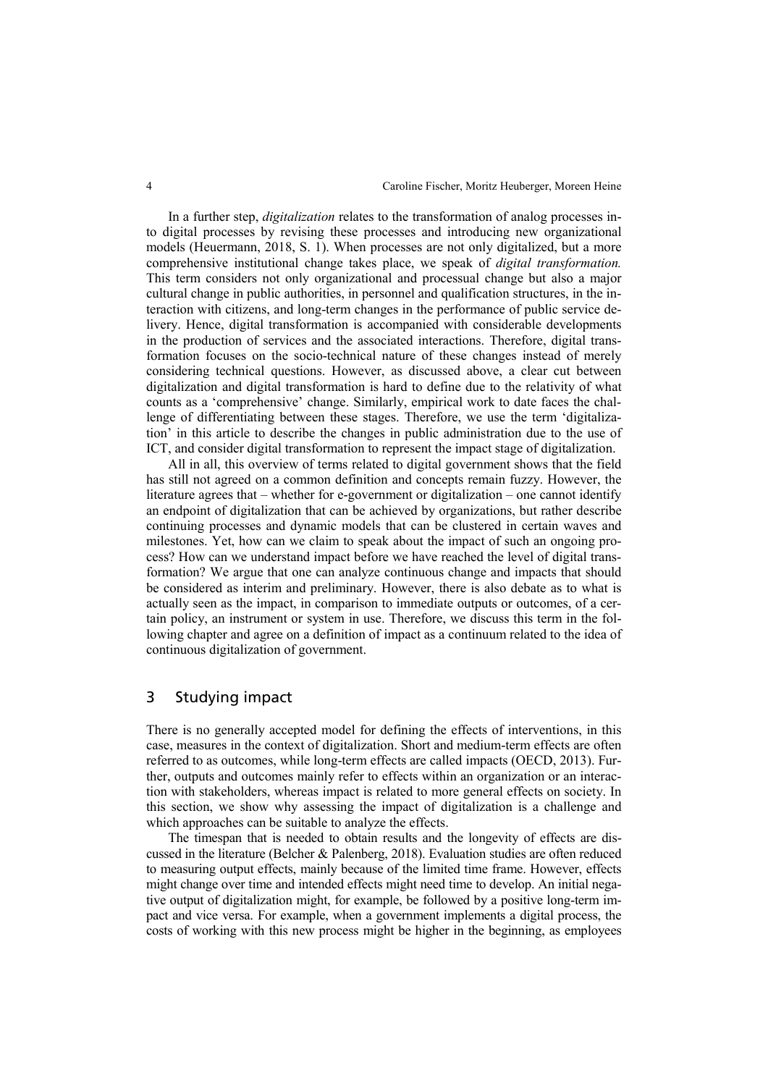In a further step, *digitalization* relates to the transformation of analog processes into digital processes by revising these processes and introducing new organizational models (Heuermann, 2018, S. 1). When processes are not only digitalized, but a more comprehensive institutional change takes place, we speak of *digital transformation.* This term considers not only organizational and processual change but also a major cultural change in public authorities, in personnel and qualification structures, in the interaction with citizens, and long-term changes in the performance of public service delivery. Hence, digital transformation is accompanied with considerable developments in the production of services and the associated interactions. Therefore, digital transformation focuses on the socio-technical nature of these changes instead of merely considering technical questions. However, as discussed above, a clear cut between digitalization and digital transformation is hard to define due to the relativity of what counts as a 'comprehensive' change. Similarly, empirical work to date faces the challenge of differentiating between these stages. Therefore, we use the term 'digitalization' in this article to describe the changes in public administration due to the use of ICT, and consider digital transformation to represent the impact stage of digitalization.

All in all, this overview of terms related to digital government shows that the field has still not agreed on a common definition and concepts remain fuzzy. However, the literature agrees that – whether for e-government or digitalization – one cannot identify an endpoint of digitalization that can be achieved by organizations, but rather describe continuing processes and dynamic models that can be clustered in certain waves and milestones. Yet, how can we claim to speak about the impact of such an ongoing process? How can we understand impact before we have reached the level of digital transformation? We argue that one can analyze continuous change and impacts that should be considered as interim and preliminary. However, there is also debate as to what is actually seen as the impact, in comparison to immediate outputs or outcomes, of a certain policy, an instrument or system in use. Therefore, we discuss this term in the following chapter and agree on a definition of impact as a continuum related to the idea of continuous digitalization of government.

## 3 Studying impact

There is no generally accepted model for defining the effects of interventions, in this case, measures in the context of digitalization. Short and medium-term effects are often referred to as outcomes, while long-term effects are called impacts (OECD, 2013). Further, outputs and outcomes mainly refer to effects within an organization or an interaction with stakeholders, whereas impact is related to more general effects on society. In this section, we show why assessing the impact of digitalization is a challenge and which approaches can be suitable to analyze the effects.

The timespan that is needed to obtain results and the longevity of effects are discussed in the literature (Belcher & Palenberg, 2018). Evaluation studies are often reduced to measuring output effects, mainly because of the limited time frame. However, effects might change over time and intended effects might need time to develop. An initial negative output of digitalization might, for example, be followed by a positive long-term impact and vice versa. For example, when a government implements a digital process, the costs of working with this new process might be higher in the beginning, as employees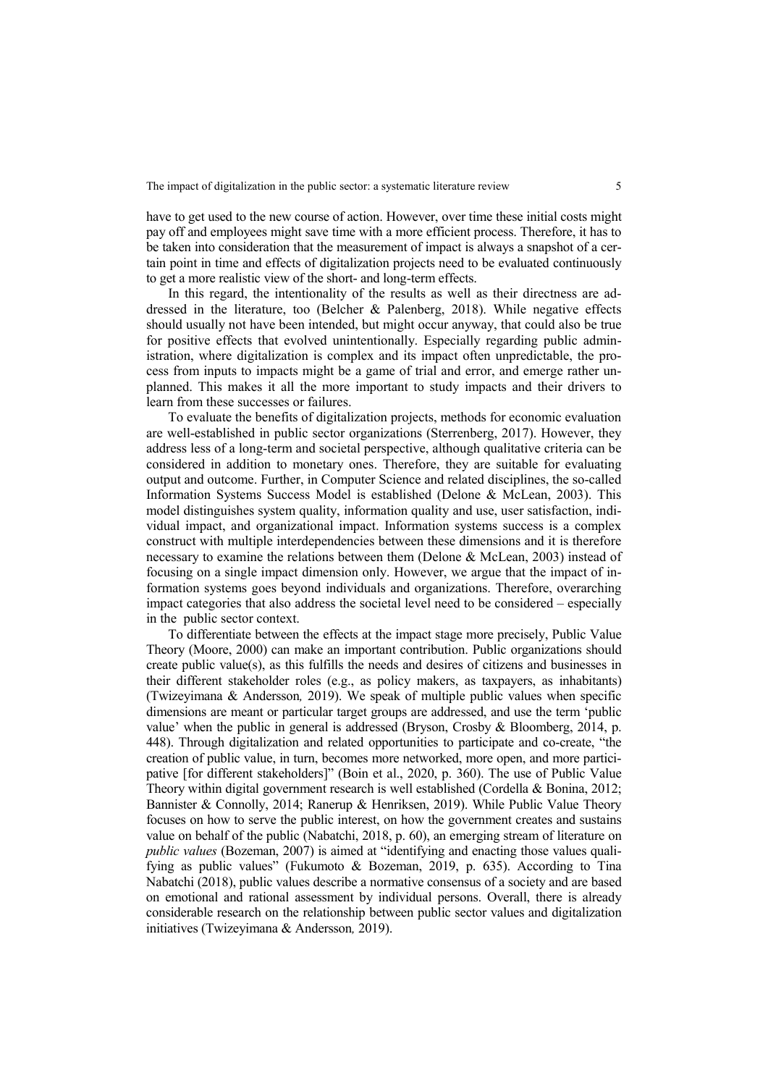have to get used to the new course of action. However, over time these initial costs might pay off and employees might save time with a more efficient process. Therefore, it has to be taken into consideration that the measurement of impact is always a snapshot of a certain point in time and effects of digitalization projects need to be evaluated continuously to get a more realistic view of the short- and long-term effects.

In this regard, the intentionality of the results as well as their directness are addressed in the literature, too (Belcher & Palenberg, 2018). While negative effects should usually not have been intended, but might occur anyway, that could also be true for positive effects that evolved unintentionally. Especially regarding public administration, where digitalization is complex and its impact often unpredictable, the process from inputs to impacts might be a game of trial and error, and emerge rather unplanned. This makes it all the more important to study impacts and their drivers to learn from these successes or failures.

To evaluate the benefits of digitalization projects, methods for economic evaluation are well-established in public sector organizations (Sterrenberg, 2017). However, they address less of a long-term and societal perspective, although qualitative criteria can be considered in addition to monetary ones. Therefore, they are suitable for evaluating output and outcome. Further, in Computer Science and related disciplines, the so-called Information Systems Success Model is established (Delone & McLean, 2003). This model distinguishes system quality, information quality and use, user satisfaction, individual impact, and organizational impact. Information systems success is a complex construct with multiple interdependencies between these dimensions and it is therefore necessary to examine the relations between them (Delone & McLean, 2003) instead of focusing on a single impact dimension only. However, we argue that the impact of information systems goes beyond individuals and organizations. Therefore, overarching impact categories that also address the societal level need to be considered – especially in the public sector context.

To differentiate between the effects at the impact stage more precisely, Public Value Theory (Moore, 2000) can make an important contribution. Public organizations should create public value(s), as this fulfills the needs and desires of citizens and businesses in their different stakeholder roles (e.g., as policy makers, as taxpayers, as inhabitants) (Twizeyimana & Andersson*,* 2019). We speak of multiple public values when specific dimensions are meant or particular target groups are addressed, and use the term 'public value' when the public in general is addressed (Bryson, Crosby & Bloomberg, 2014, p. 448). Through digitalization and related opportunities to participate and co-create, "the creation of public value, in turn, becomes more networked, more open, and more participative [for different stakeholders]" (Boin et al., 2020, p. 360). The use of Public Value Theory within digital government research is well established (Cordella & Bonina, 2012; Bannister & Connolly, 2014; Ranerup & Henriksen, 2019). While Public Value Theory focuses on how to serve the public interest, on how the government creates and sustains value on behalf of the public (Nabatchi, 2018, p. 60), an emerging stream of literature on *public values* (Bozeman, 2007) is aimed at "identifying and enacting those values qualifying as public values" (Fukumoto & Bozeman, 2019, p. 635). According to Tina Nabatchi (2018), public values describe a normative consensus of a society and are based on emotional and rational assessment by individual persons. Overall, there is already considerable research on the relationship between public sector values and digitalization initiatives (Twizeyimana & Andersson*,* 2019).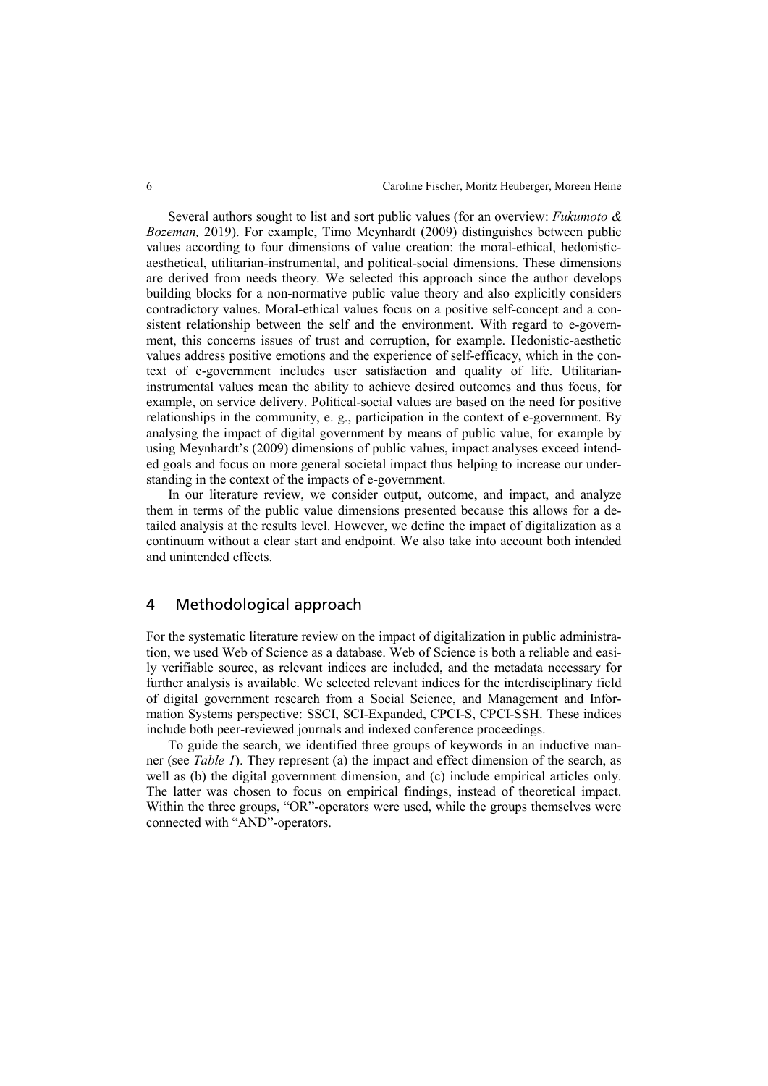Several authors sought to list and sort public values (for an overview: *Fukumoto & Bozeman,* 2019). For example, Timo Meynhardt (2009) distinguishes between public values according to four dimensions of value creation: the moral-ethical, hedonisticaesthetical, utilitarian-instrumental, and political-social dimensions. These dimensions are derived from needs theory. We selected this approach since the author develops building blocks for a non-normative public value theory and also explicitly considers contradictory values. Moral-ethical values focus on a positive self-concept and a consistent relationship between the self and the environment. With regard to e-government, this concerns issues of trust and corruption, for example. Hedonistic-aesthetic values address positive emotions and the experience of self-efficacy, which in the context of e-government includes user satisfaction and quality of life. Utilitarianinstrumental values mean the ability to achieve desired outcomes and thus focus, for example, on service delivery. Political-social values are based on the need for positive relationships in the community, e. g., participation in the context of e-government. By analysing the impact of digital government by means of public value, for example by using Meynhardt's (2009) dimensions of public values, impact analyses exceed intended goals and focus on more general societal impact thus helping to increase our understanding in the context of the impacts of e-government.

In our literature review, we consider output, outcome, and impact, and analyze them in terms of the public value dimensions presented because this allows for a detailed analysis at the results level. However, we define the impact of digitalization as a continuum without a clear start and endpoint. We also take into account both intended and unintended effects.

## 4 Methodological approach

For the systematic literature review on the impact of digitalization in public administration, we used Web of Science as a database. Web of Science is both a reliable and easily verifiable source, as relevant indices are included, and the metadata necessary for further analysis is available. We selected relevant indices for the interdisciplinary field of digital government research from a Social Science, and Management and Information Systems perspective: SSCI, SCI-Expanded, CPCI-S, CPCI-SSH. These indices include both peer-reviewed journals and indexed conference proceedings.

To guide the search, we identified three groups of keywords in an inductive manner (see *Table 1*). They represent (a) the impact and effect dimension of the search, as well as (b) the digital government dimension, and (c) include empirical articles only. The latter was chosen to focus on empirical findings, instead of theoretical impact. Within the three groups, "OR"-operators were used, while the groups themselves were connected with "AND"-operators.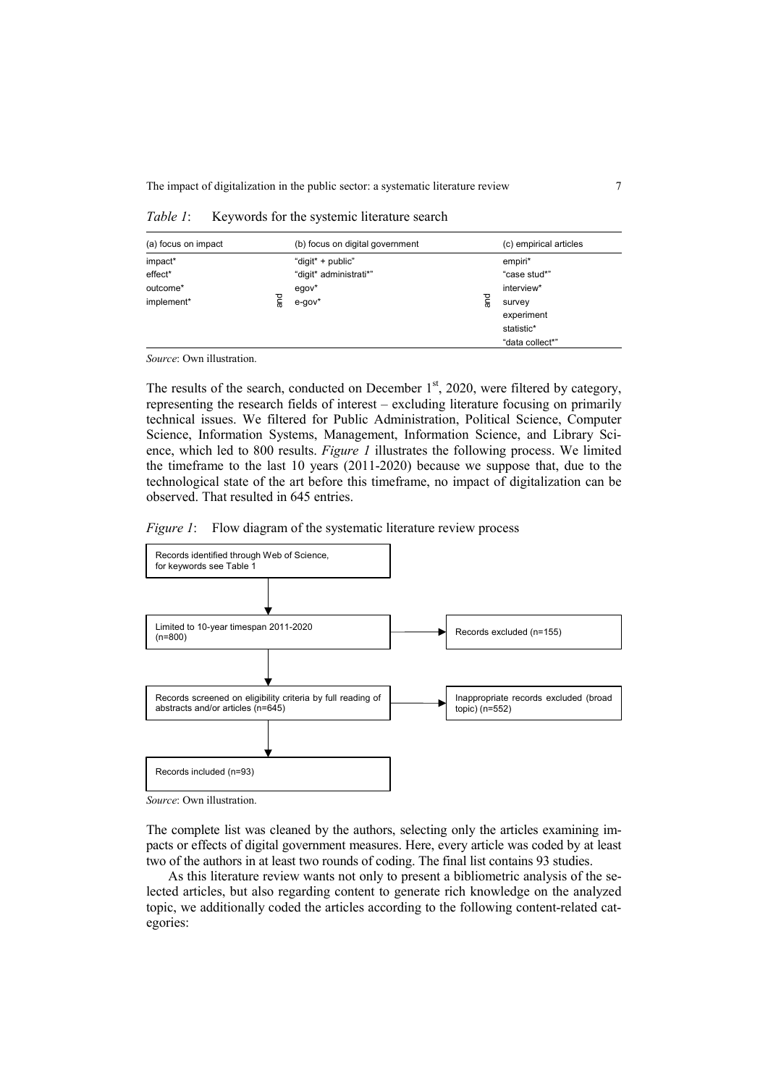| (a) focus on impact                          |         | (b) focus on digital government                                         |          | (c) empirical articles                                                                         |
|----------------------------------------------|---------|-------------------------------------------------------------------------|----------|------------------------------------------------------------------------------------------------|
| impact*<br>effect*<br>outcome*<br>implement* | ng<br>T | "digit" + public"<br>"digit* administrati*"<br>$egov^*$<br>$e$ -gov $*$ | and<br>ब | empiri*<br>"case stud*"<br>interview*<br>survey<br>experiment<br>statistic*<br>"data collect*" |

*Table 1*: Keywords for the systemic literature search

*Source*: Own illustration.

The results of the search, conducted on December  $1<sup>st</sup>$ , 2020, were filtered by category, representing the research fields of interest – excluding literature focusing on primarily technical issues. We filtered for Public Administration, Political Science, Computer Science, Information Systems, Management, Information Science, and Library Science, which led to 800 results. *Figure 1* illustrates the following process. We limited the timeframe to the last 10 years (2011-2020) because we suppose that, due to the technological state of the art before this timeframe, no impact of digitalization can be observed. That resulted in 645 entries.





*Source*: Own illustration.

The complete list was cleaned by the authors, selecting only the articles examining impacts or effects of digital government measures. Here, every article was coded by at least two of the authors in at least two rounds of coding. The final list contains 93 studies.

As this literature review wants not only to present a bibliometric analysis of the selected articles, but also regarding content to generate rich knowledge on the analyzed topic, we additionally coded the articles according to the following content-related categories: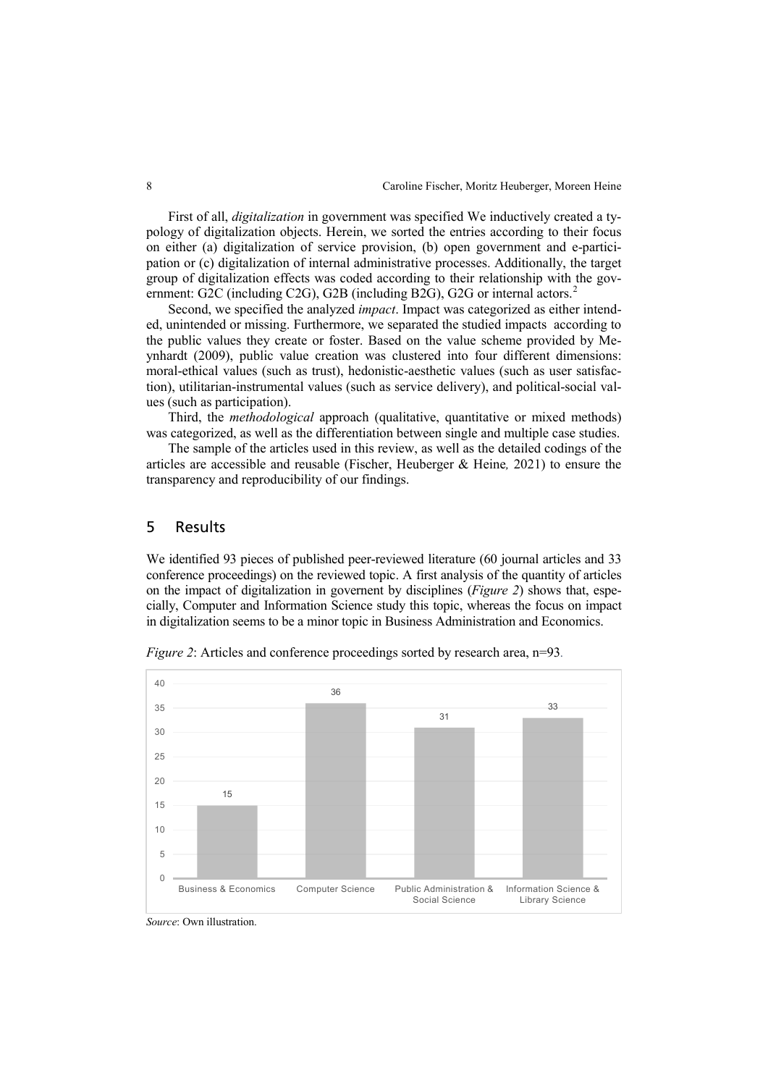First of all, *digitalization* in government was specified We inductively created a typology of digitalization objects. Herein, we sorted the entries according to their focus on either (a) digitalization of service provision, (b) open government and e-participation or (c) digitalization of internal administrative processes. Additionally, the target group of digitalization effects was coded according to their relationship with the gov-ernment: G[2](#page-16-1)C (including C2G), G2B (including B2G), G2G or internal actors.<sup>2</sup>

Second, we specified the analyzed *impact*. Impact was categorized as either intended, unintended or missing. Furthermore, we separated the studied impacts according to the public values they create or foster. Based on the value scheme provided by Meynhardt (2009), public value creation was clustered into four different dimensions: moral-ethical values (such as trust), hedonistic-aesthetic values (such as user satisfaction), utilitarian-instrumental values (such as service delivery), and political-social values (such as participation).

Third, the *methodological* approach (qualitative, quantitative or mixed methods) was categorized, as well as the differentiation between single and multiple case studies.

The sample of the articles used in this review, as well as the detailed codings of the articles are accessible and reusable (Fischer, Heuberger & Heine*,* 2021) to ensure the transparency and reproducibility of our findings.

### 5 Results

We identified 93 pieces of published peer-reviewed literature (60 journal articles and 33 conference proceedings) on the reviewed topic. A first analysis of the quantity of articles on the impact of digitalization in governent by disciplines (*Figure 2*) shows that, especially, Computer and Information Science study this topic, whereas the focus on impact in digitalization seems to be a minor topic in Business Administration and Economics.



*Figure 2*: Articles and conference proceedings sorted by research area, n=93.

*Source*: Own illustration.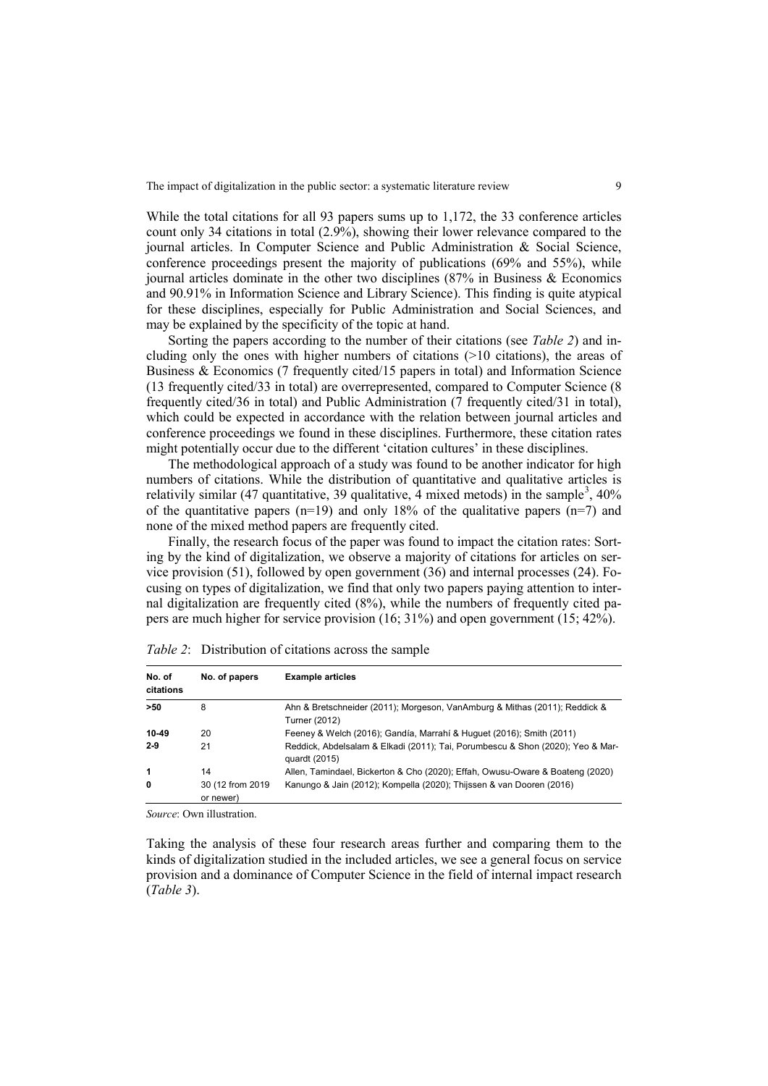While the total citations for all 93 papers sums up to 1,172, the 33 conference articles count only 34 citations in total (2.9%), showing their lower relevance compared to the journal articles. In Computer Science and Public Administration & Social Science, conference proceedings present the majority of publications (69% and 55%), while journal articles dominate in the other two disciplines (87% in Business & Economics and 90.91% in Information Science and Library Science). This finding is quite atypical for these disciplines, especially for Public Administration and Social Sciences, and may be explained by the specificity of the topic at hand.

Sorting the papers according to the number of their citations (see *Table 2*) and including only the ones with higher numbers of citations (>10 citations), the areas of Business & Economics (7 frequently cited/15 papers in total) and Information Science (13 frequently cited/33 in total) are overrepresented, compared to Computer Science (8 frequently cited/36 in total) and Public Administration (7 frequently cited/31 in total), which could be expected in accordance with the relation between journal articles and conference proceedings we found in these disciplines. Furthermore, these citation rates might potentially occur due to the different 'citation cultures' in these disciplines.

The methodological approach of a study was found to be another indicator for high numbers of citations. While the distribution of quantitative and qualitative articles is relativily similar (47 quantitative, [3](#page-16-2)9 qualitative,  $\overline{4}$  mixed metods) in the sample<sup>3</sup>, 40% of the quantitative papers (n=19) and only 18% of the qualitative papers (n=7) and none of the mixed method papers are frequently cited.

Finally, the research focus of the paper was found to impact the citation rates: Sorting by the kind of digitalization, we observe a majority of citations for articles on service provision (51), followed by open government (36) and internal processes (24). Focusing on types of digitalization, we find that only two papers paying attention to internal digitalization are frequently cited (8%), while the numbers of frequently cited papers are much higher for service provision (16; 31%) and open government (15; 42%).

| No. of<br>citations | No. of papers                  | <b>Example articles</b>                                                                         |
|---------------------|--------------------------------|-------------------------------------------------------------------------------------------------|
| $>50$               | 8                              | Ahn & Bretschneider (2011); Morgeson, VanAmburg & Mithas (2011); Reddick &<br>Turner (2012)     |
| 10-49               | 20                             | Feeney & Welch (2016); Gandía, Marrahí & Huguet (2016); Smith (2011)                            |
| $2 - 9$             | 21                             | Reddick, Abdelsalam & Elkadi (2011); Tai, Porumbescu & Shon (2020); Yeo & Mar-<br>quardt (2015) |
| 1                   | 14                             | Allen, Tamindael, Bickerton & Cho (2020); Effah, Owusu-Oware & Boateng (2020)                   |
| 0                   | 30 (12 from 2019)<br>or newer) | Kanungo & Jain (2012); Kompella (2020); Thijssen & van Dooren (2016)                            |

*Table 2*: Distribution of citations across the sample

*Source*: Own illustration.

Taking the analysis of these four research areas further and comparing them to the kinds of digitalization studied in the included articles, we see a general focus on service provision and a dominance of Computer Science in the field of internal impact research (*Table 3*).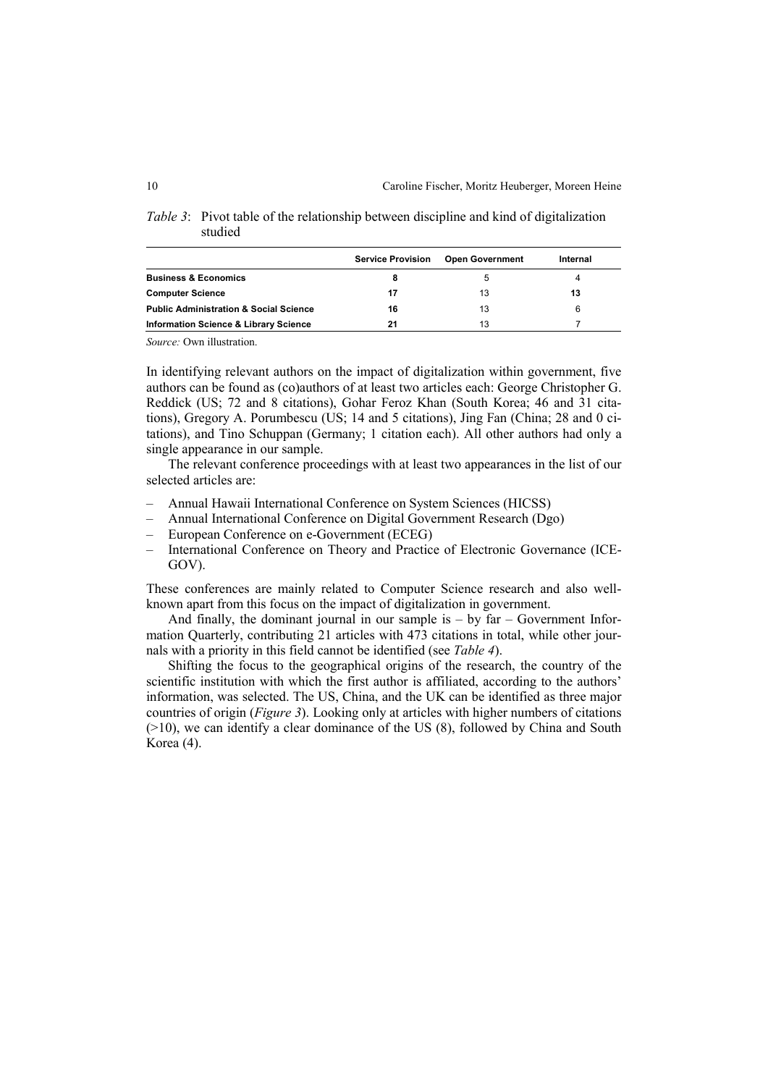|                                                   | <b>Service Provision</b> | <b>Open Government</b> | Internal |  |
|---------------------------------------------------|--------------------------|------------------------|----------|--|
| <b>Business &amp; Economics</b>                   |                          |                        | 4        |  |
| <b>Computer Science</b>                           | 17                       | 13                     | 13       |  |
| <b>Public Administration &amp; Social Science</b> | 16                       | 13                     | 6        |  |
| <b>Information Science &amp; Library Science</b>  | 21                       | 13                     |          |  |

*Table 3*: Pivot table of the relationship between discipline and kind of digitalization studied

*Source:* Own illustration.

In identifying relevant authors on the impact of digitalization within government, five authors can be found as (co)authors of at least two articles each: George Christopher G. Reddick (US; 72 and 8 citations), Gohar Feroz Khan (South Korea; 46 and 31 citations), Gregory A. Porumbescu (US; 14 and 5 citations), Jing Fan (China; 28 and 0 citations), and Tino Schuppan (Germany; 1 citation each). All other authors had only a single appearance in our sample.

The relevant conference proceedings with at least two appearances in the list of our selected articles are:

- ‒ Annual Hawaii International Conference on System Sciences (HICSS)
- ‒ Annual International Conference on Digital Government Research (Dgo)
- ‒ European Conference on e-Government (ECEG)
- ‒ International Conference on Theory and Practice of Electronic Governance (ICE-GOV).

These conferences are mainly related to Computer Science research and also wellknown apart from this focus on the impact of digitalization in government.

And finally, the dominant journal in our sample is  $-$  by far  $-$  Government Information Quarterly, contributing 21 articles with 473 citations in total, while other journals with a priority in this field cannot be identified (see *Table 4*).

Shifting the focus to the geographical origins of the research, the country of the scientific institution with which the first author is affiliated, according to the authors' information, was selected. The US, China, and the UK can be identified as three major countries of origin (*Figure 3*). Looking only at articles with higher numbers of citations (>10), we can identify a clear dominance of the US (8), followed by China and South Korea (4).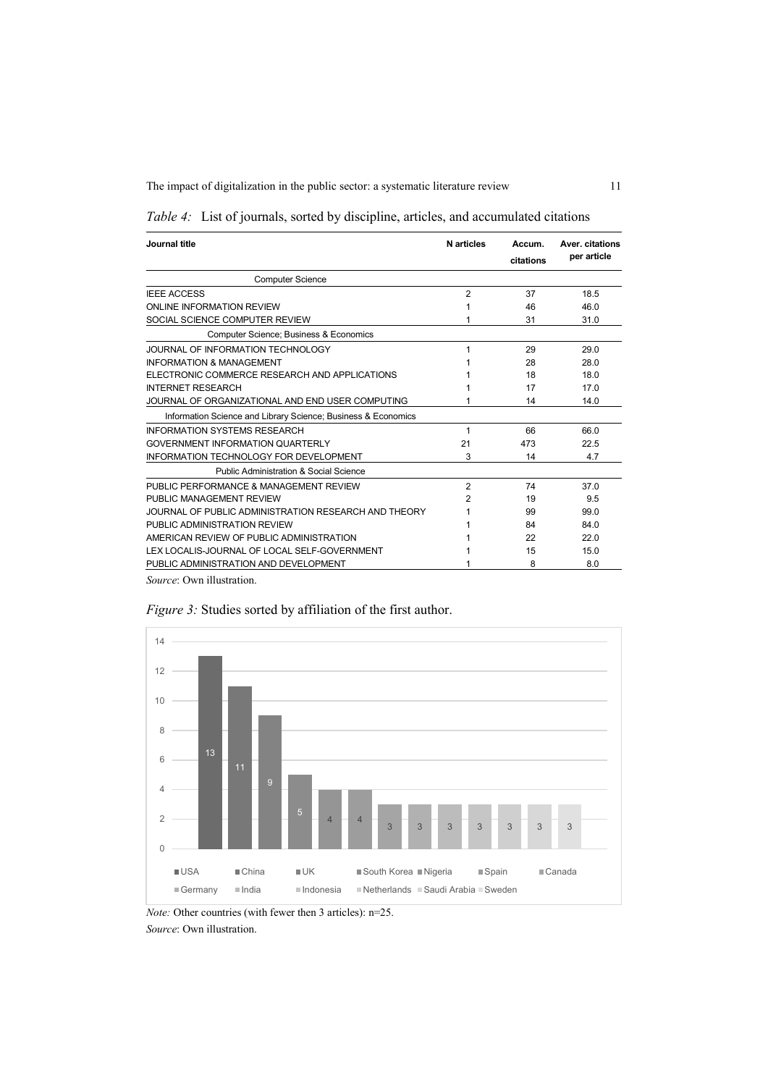| Journal title                                                 | <b>N</b> articles | Accum.<br>citations | Aver, citations<br>per article |
|---------------------------------------------------------------|-------------------|---------------------|--------------------------------|
| <b>Computer Science</b>                                       |                   |                     |                                |
| <b>IEEE ACCESS</b>                                            | $\overline{2}$    | 37                  | 18.5                           |
| ONLINE INFORMATION REVIEW                                     |                   | 46                  | 46.0                           |
| SOCIAL SCIENCE COMPUTER REVIEW                                | 1                 | 31                  | 31.0                           |
| Computer Science; Business & Economics                        |                   |                     |                                |
| JOURNAL OF INFORMATION TECHNOLOGY                             | 1                 | 29                  | 29.0                           |
| <b>INFORMATION &amp; MANAGEMENT</b>                           |                   | 28                  | 28.0                           |
| ELECTRONIC COMMERCE RESEARCH AND APPLICATIONS                 |                   | 18                  | 18 <sub>0</sub>                |
| <b>INTERNET RESEARCH</b>                                      |                   | 17                  | 17.0                           |
| JOURNAL OF ORGANIZATIONAL AND END USER COMPUTING              | 1                 | 14                  | 14.0                           |
| Information Science and Library Science; Business & Economics |                   |                     |                                |
| <b>INFORMATION SYSTEMS RESEARCH</b>                           | 1                 | 66                  | 66.0                           |
| <b>GOVERNMENT INFORMATION OUARTERLY</b>                       | 21                | 473                 | 22.5                           |
| <b>INFORMATION TECHNOLOGY FOR DEVELOPMENT</b>                 | 3                 | 14                  | 4.7                            |
| Public Administration & Social Science                        |                   |                     |                                |
| PUBLIC PERFORMANCE & MANAGEMENT REVIEW                        | $\overline{2}$    | 74                  | 37.0                           |
| PUBLIC MANAGEMENT REVIEW                                      | 2                 | 19                  | 9.5                            |
| JOURNAL OF PUBLIC ADMINISTRATION RESEARCH AND THEORY          |                   | 99                  | 99.0                           |
| PUBLIC ADMINISTRATION REVIEW                                  |                   | 84                  | 84 0                           |
| AMERICAN REVIEW OF PUBLIC ADMINISTRATION                      |                   | 22                  | 22.0                           |
| LEX LOCALIS-JOURNAL OF LOCAL SELF-GOVERNMENT                  |                   | 15                  | 15.0                           |
| PUBLIC ADMINISTRATION AND DEVELOPMENT                         |                   | 8                   | 8.0                            |

|  | Table 4: List of journals, sorted by discipline, articles, and accumulated citations |  |  |  |  |  |
|--|--------------------------------------------------------------------------------------|--|--|--|--|--|
|--|--------------------------------------------------------------------------------------|--|--|--|--|--|

*Source*: Own illustration.



*Figure 3:* Studies sorted by affiliation of the first author.

*Note:* Other countries (with fewer then 3 articles): n=25. *Source*: Own illustration.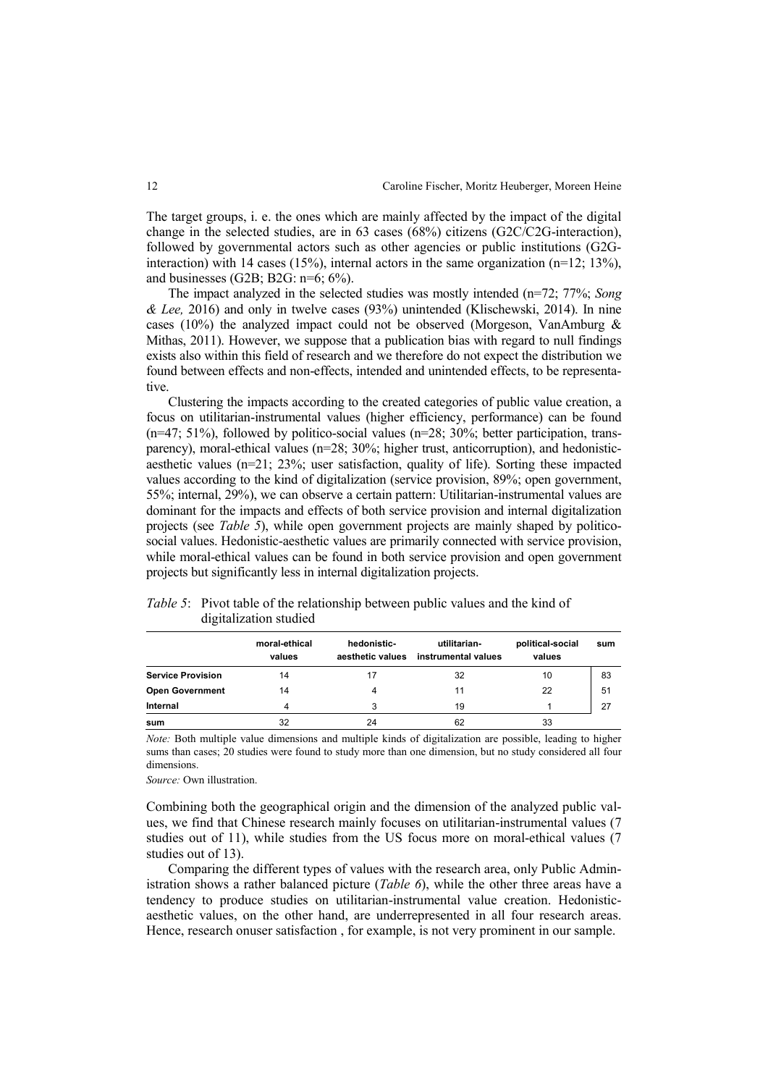The target groups, i. e. the ones which are mainly affected by the impact of the digital change in the selected studies, are in 63 cases (68%) citizens (G2C/C2G-interaction), followed by governmental actors such as other agencies or public institutions (G2Ginteraction) with 14 cases (15%), internal actors in the same organization ( $n=12$ ; 13%), and businesses (G2B; B2G: n=6; 6%).

The impact analyzed in the selected studies was mostly intended (n=72; 77%; *Song & Lee,* 2016) and only in twelve cases (93%) unintended (Klischewski, 2014). In nine cases (10%) the analyzed impact could not be observed (Morgeson, VanAmburg & Mithas, 2011). However, we suppose that a publication bias with regard to null findings exists also within this field of research and we therefore do not expect the distribution we found between effects and non-effects, intended and unintended effects, to be representative.

Clustering the impacts according to the created categories of public value creation, a focus on utilitarian-instrumental values (higher efficiency, performance) can be found  $(n=47; 51\%)$ , followed by politico-social values  $(n=28; 30\%;$  better participation, transparency), moral-ethical values (n=28; 30%; higher trust, anticorruption), and hedonisticaesthetic values (n=21; 23%; user satisfaction, quality of life). Sorting these impacted values according to the kind of digitalization (service provision, 89%; open government, 55%; internal, 29%), we can observe a certain pattern: Utilitarian-instrumental values are dominant for the impacts and effects of both service provision and internal digitalization projects (see *Table 5*), while open government projects are mainly shaped by politicosocial values. Hedonistic-aesthetic values are primarily connected with service provision, while moral-ethical values can be found in both service provision and open government projects but significantly less in internal digitalization projects.

|                          | moral-ethical<br>values | hedonistic-<br>aesthetic values | utilitarian-<br>instrumental values | political-social<br>values | sum |
|--------------------------|-------------------------|---------------------------------|-------------------------------------|----------------------------|-----|
| <b>Service Provision</b> | 14                      |                                 | 32                                  | 10                         | 83  |
| <b>Open Government</b>   | 14                      |                                 | 11                                  | 22                         | 51  |
| Internal                 |                         | 3                               | 19                                  |                            | 27  |
| sum                      | 32                      | 24                              | 62                                  | 33                         |     |

*Table 5*: Pivot table of the relationship between public values and the kind of digitalization studied

*Note:* Both multiple value dimensions and multiple kinds of digitalization are possible, leading to higher sums than cases; 20 studies were found to study more than one dimension, but no study considered all four dimensions.

*Source:* Own illustration.

Combining both the geographical origin and the dimension of the analyzed public values, we find that Chinese research mainly focuses on utilitarian-instrumental values (7 studies out of 11), while studies from the US focus more on moral-ethical values (7 studies out of 13).

Comparing the different types of values with the research area, only Public Administration shows a rather balanced picture (*Table 6*), while the other three areas have a tendency to produce studies on utilitarian-instrumental value creation. Hedonisticaesthetic values, on the other hand, are underrepresented in all four research areas. Hence, research onuser satisfaction , for example, is not very prominent in our sample.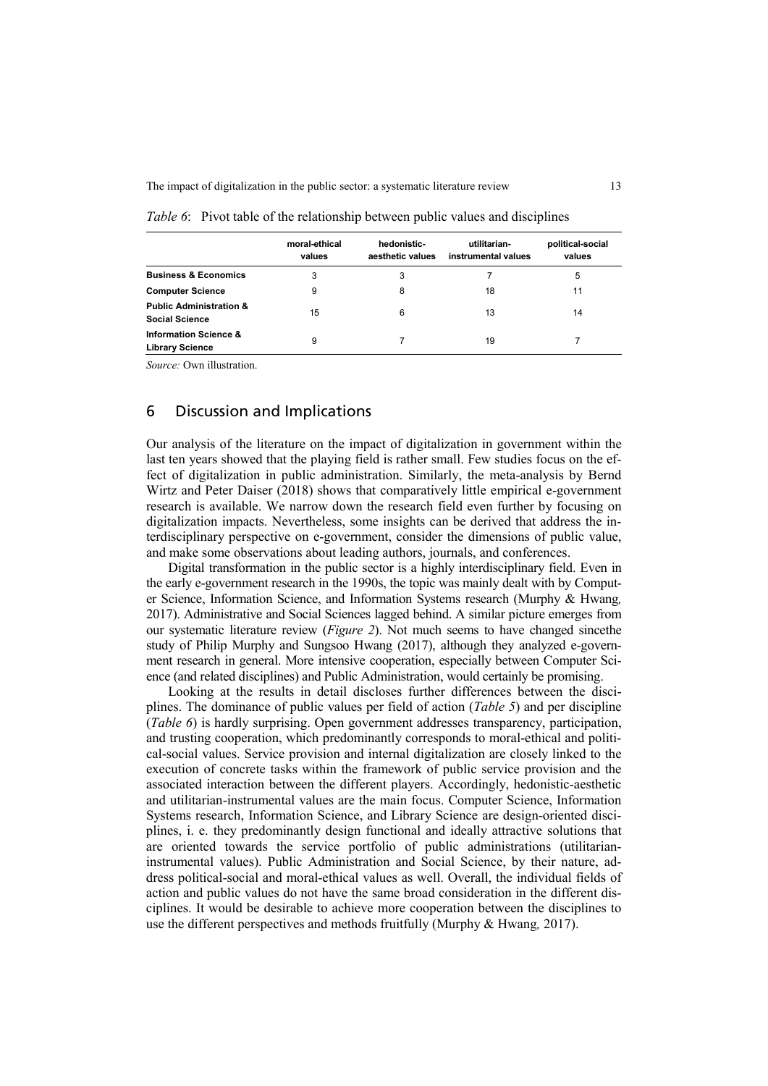|                                                             | moral-ethical<br>values | hedonistic-<br>aesthetic values | utilitarian-<br>instrumental values | political-social<br>values |
|-------------------------------------------------------------|-------------------------|---------------------------------|-------------------------------------|----------------------------|
| <b>Business &amp; Economics</b>                             | 3                       | 3                               |                                     | 5                          |
| <b>Computer Science</b>                                     | 9                       | 8                               | 18                                  | 11                         |
| <b>Public Administration &amp;</b><br><b>Social Science</b> | 15                      | 6                               | 13                                  | 14                         |
| <b>Information Science &amp;</b><br><b>Library Science</b>  | 9                       |                                 | 19                                  |                            |

#### *Table 6*: Pivot table of the relationship between public values and disciplines

*Source:* Own illustration.

### 6 Discussion and Implications

Our analysis of the literature on the impact of digitalization in government within the last ten years showed that the playing field is rather small. Few studies focus on the effect of digitalization in public administration. Similarly, the meta-analysis by Bernd Wirtz and Peter Daiser (2018) shows that comparatively little empirical e-government research is available. We narrow down the research field even further by focusing on digitalization impacts. Nevertheless, some insights can be derived that address the interdisciplinary perspective on e-government, consider the dimensions of public value, and make some observations about leading authors, journals, and conferences.

Digital transformation in the public sector is a highly interdisciplinary field. Even in the early e-government research in the 1990s, the topic was mainly dealt with by Computer Science, Information Science, and Information Systems research (Murphy & Hwang*,*  2017). Administrative and Social Sciences lagged behind. A similar picture emerges from our systematic literature review (*Figure 2*). Not much seems to have changed sincethe study of Philip Murphy and Sungsoo Hwang (2017), although they analyzed e-government research in general. More intensive cooperation, especially between Computer Science (and related disciplines) and Public Administration, would certainly be promising.

Looking at the results in detail discloses further differences between the disciplines. The dominance of public values per field of action (*Table 5*) and per discipline (*Table 6*) is hardly surprising. Open government addresses transparency, participation, and trusting cooperation, which predominantly corresponds to moral-ethical and political-social values. Service provision and internal digitalization are closely linked to the execution of concrete tasks within the framework of public service provision and the associated interaction between the different players. Accordingly, hedonistic-aesthetic and utilitarian-instrumental values are the main focus. Computer Science, Information Systems research, Information Science, and Library Science are design-oriented disciplines, i. e. they predominantly design functional and ideally attractive solutions that are oriented towards the service portfolio of public administrations (utilitarianinstrumental values). Public Administration and Social Science, by their nature, address political-social and moral-ethical values as well. Overall, the individual fields of action and public values do not have the same broad consideration in the different disciplines. It would be desirable to achieve more cooperation between the disciplines to use the different perspectives and methods fruitfully (Murphy & Hwang*,* 2017).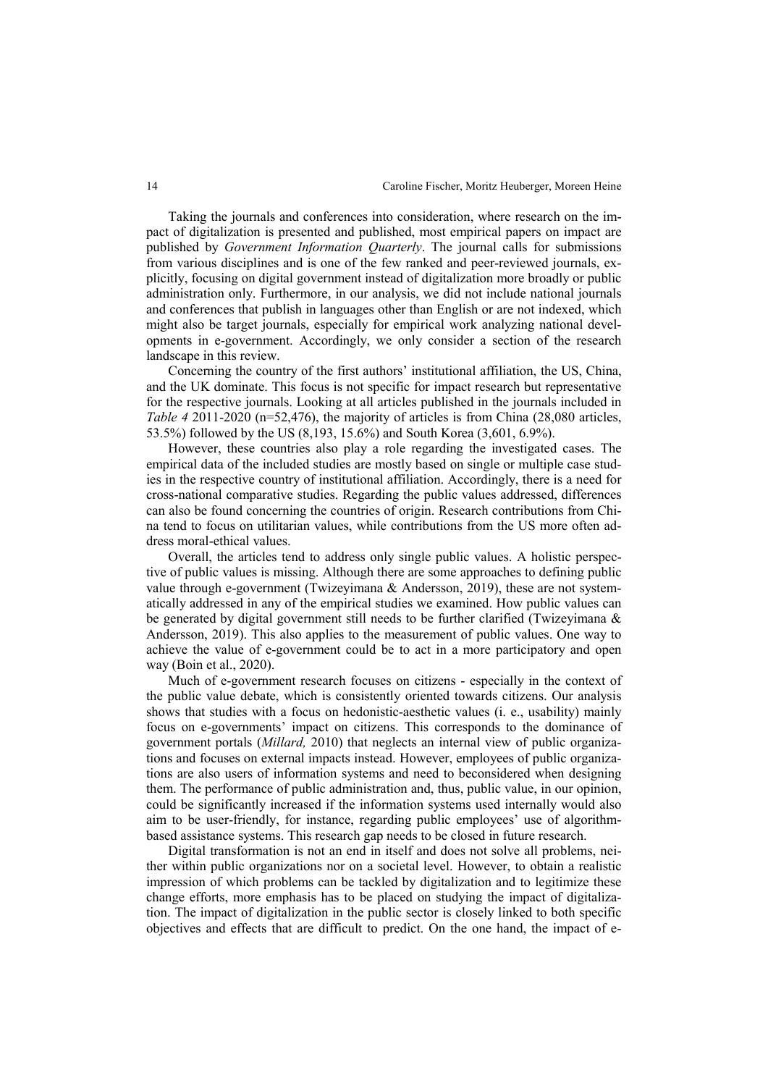Taking the journals and conferences into consideration, where research on the impact of digitalization is presented and published, most empirical papers on impact are published by *Government Information Quarterly*. The journal calls for submissions from various disciplines and is one of the few ranked and peer-reviewed journals, explicitly, focusing on digital government instead of digitalization more broadly or public administration only. Furthermore, in our analysis, we did not include national journals and conferences that publish in languages other than English or are not indexed, which might also be target journals, especially for empirical work analyzing national developments in e-government. Accordingly, we only consider a section of the research landscape in this review.

Concerning the country of the first authors' institutional affiliation, the US, China, and the UK dominate. This focus is not specific for impact research but representative for the respective journals. Looking at all articles published in the journals included in *Table 4* 2011-2020 (n=52,476), the majority of articles is from China (28,080 articles, 53.5%) followed by the US (8,193, 15.6%) and South Korea (3,601, 6.9%).

However, these countries also play a role regarding the investigated cases. The empirical data of the included studies are mostly based on single or multiple case studies in the respective country of institutional affiliation. Accordingly, there is a need for cross-national comparative studies. Regarding the public values addressed, differences can also be found concerning the countries of origin. Research contributions from China tend to focus on utilitarian values, while contributions from the US more often address moral-ethical values.

Overall, the articles tend to address only single public values. A holistic perspective of public values is missing. Although there are some approaches to defining public value through e-government (Twizeyimana & Andersson, 2019), these are not systematically addressed in any of the empirical studies we examined. How public values can be generated by digital government still needs to be further clarified (Twizeyimana & Andersson, 2019). This also applies to the measurement of public values. One way to achieve the value of e-government could be to act in a more participatory and open way (Boin et al., 2020).

Much of e-government research focuses on citizens - especially in the context of the public value debate, which is consistently oriented towards citizens. Our analysis shows that studies with a focus on hedonistic-aesthetic values (i. e., usability) mainly focus on e-governments' impact on citizens. This corresponds to the dominance of government portals (*Millard,* 2010) that neglects an internal view of public organizations and focuses on external impacts instead. However, employees of public organizations are also users of information systems and need to beconsidered when designing them. The performance of public administration and, thus, public value, in our opinion, could be significantly increased if the information systems used internally would also aim to be user-friendly, for instance, regarding public employees' use of algorithmbased assistance systems. This research gap needs to be closed in future research.

Digital transformation is not an end in itself and does not solve all problems, neither within public organizations nor on a societal level. However, to obtain a realistic impression of which problems can be tackled by digitalization and to legitimize these change efforts, more emphasis has to be placed on studying the impact of digitalization. The impact of digitalization in the public sector is closely linked to both specific objectives and effects that are difficult to predict. On the one hand, the impact of e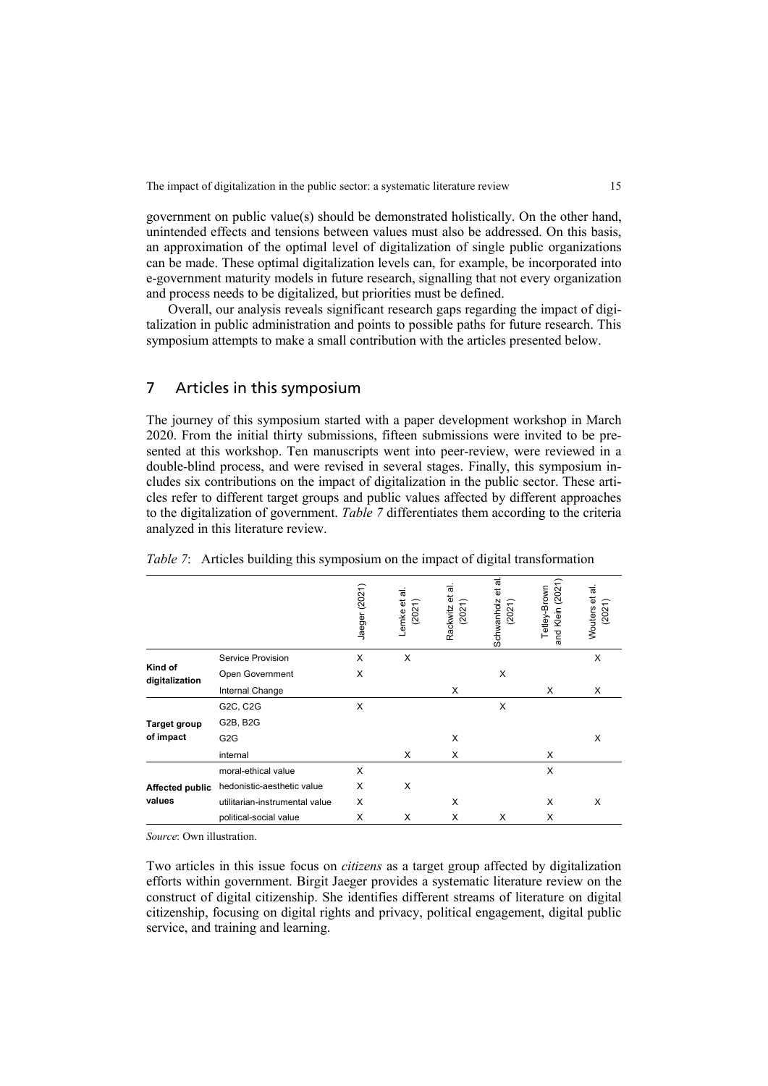government on public value(s) should be demonstrated holistically. On the other hand, unintended effects and tensions between values must also be addressed. On this basis, an approximation of the optimal level of digitalization of single public organizations can be made. These optimal digitalization levels can, for example, be incorporated into e-government maturity models in future research, signalling that not every organization and process needs to be digitalized, but priorities must be defined.

Overall, our analysis reveals significant research gaps regarding the impact of digitalization in public administration and points to possible paths for future research. This symposium attempts to make a small contribution with the articles presented below.

## 7 Articles in this symposium

The journey of this symposium started with a paper development workshop in March 2020. From the initial thirty submissions, fifteen submissions were invited to be presented at this workshop. Ten manuscripts went into peer-review, were reviewed in a double-blind process, and were revised in several stages. Finally, this symposium includes six contributions on the impact of digitalization in the public sector. These articles refer to different target groups and public values affected by different approaches to the digitalization of government. *Table 7* differentiates them according to the criteria analyzed in this literature review.

|                           |                                | Jaeger (2021) | Lemke et al.<br>(2021) | ಕ<br>Rackwitz et<br>(2021) | ಕ<br>đ<br>Schwanholz<br>(2021) | (2021)<br>Tetley-Brown<br>Klein<br>and | ಸ<br>ъ<br>(2021)<br>Wouters |
|---------------------------|--------------------------------|---------------|------------------------|----------------------------|--------------------------------|----------------------------------------|-----------------------------|
| Kind of<br>digitalization | Service Provision              | X             | X                      |                            |                                |                                        | X                           |
|                           | Open Government                | X             |                        |                            | X                              |                                        |                             |
|                           | Internal Change                |               |                        | X                          |                                | X                                      | X                           |
|                           | G2C, C2G                       | X             |                        |                            | X                              |                                        |                             |
| <b>Target group</b>       | G2B, B2G                       |               |                        |                            |                                |                                        |                             |
| of impact                 | G <sub>2</sub> G               |               |                        | X                          |                                |                                        | X                           |
|                           | internal                       |               | X                      | X                          |                                | X                                      |                             |
|                           | moral-ethical value            | X             |                        |                            |                                | X                                      |                             |
| <b>Affected public</b>    | hedonistic-aesthetic value     | X             | X                      |                            |                                |                                        |                             |
| values                    | utilitarian-instrumental value | X             |                        | X                          |                                | X                                      | X                           |
|                           | political-social value         | X             | X                      | X                          | X                              | X                                      |                             |

|  |  | <i>Table 7</i> : Articles building this symposium on the impact of digital transformation |  |  |  |  |
|--|--|-------------------------------------------------------------------------------------------|--|--|--|--|
|  |  |                                                                                           |  |  |  |  |

*Source*: Own illustration.

Two articles in this issue focus on *citizens* as a target group affected by digitalization efforts within government. Birgit Jaeger provides a systematic literature review on the construct of digital citizenship. She identifies different streams of literature on digital citizenship, focusing on digital rights and privacy, political engagement, digital public service, and training and learning.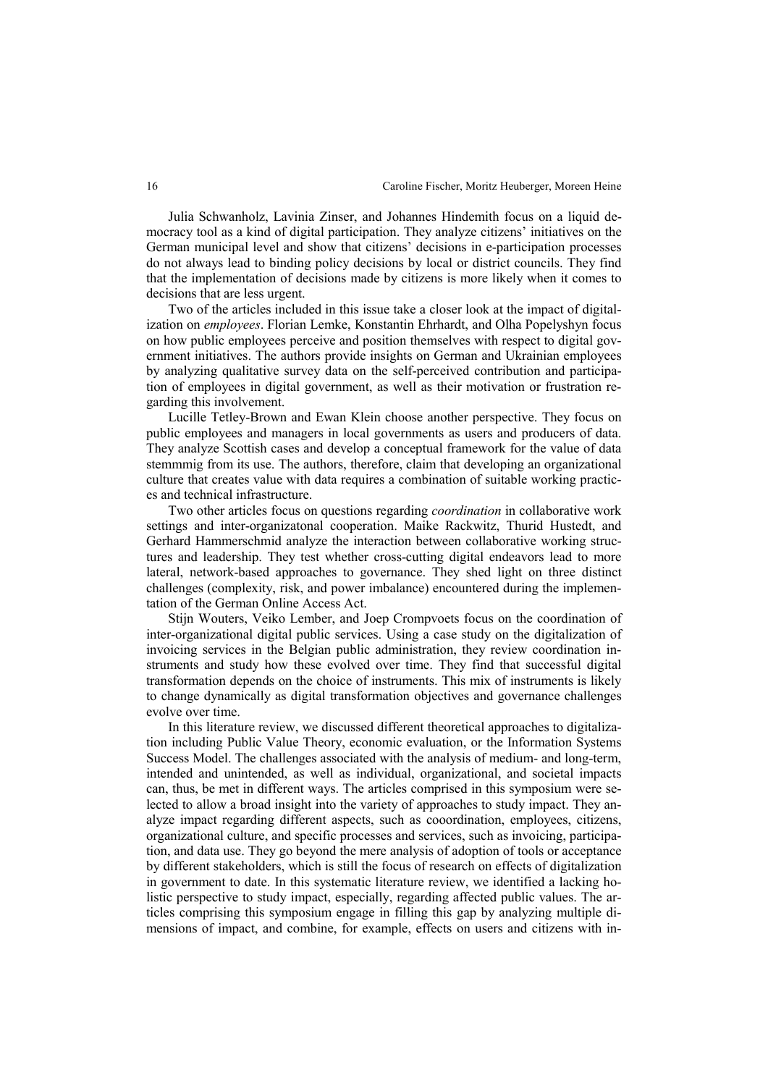Julia Schwanholz, Lavinia Zinser, and Johannes Hindemith focus on a liquid democracy tool as a kind of digital participation. They analyze citizens' initiatives on the German municipal level and show that citizens' decisions in e-participation processes do not always lead to binding policy decisions by local or district councils. They find that the implementation of decisions made by citizens is more likely when it comes to decisions that are less urgent.

Two of the articles included in this issue take a closer look at the impact of digitalization on *employees*. Florian Lemke, Konstantin Ehrhardt, and Olha Popelyshyn focus on how public employees perceive and position themselves with respect to digital government initiatives. The authors provide insights on German and Ukrainian employees by analyzing qualitative survey data on the self-perceived contribution and participation of employees in digital government, as well as their motivation or frustration regarding this involvement.

Lucille Tetley-Brown and Ewan Klein choose another perspective. They focus on public employees and managers in local governments as users and producers of data. They analyze Scottish cases and develop a conceptual framework for the value of data stemmmig from its use. The authors, therefore, claim that developing an organizational culture that creates value with data requires a combination of suitable working practices and technical infrastructure.

Two other articles focus on questions regarding *coordination* in collaborative work settings and inter-organizatonal cooperation. Maike Rackwitz, Thurid Hustedt, and Gerhard Hammerschmid analyze the interaction between collaborative working structures and leadership. They test whether cross-cutting digital endeavors lead to more lateral, network-based approaches to governance. They shed light on three distinct challenges (complexity, risk, and power imbalance) encountered during the implementation of the German Online Access Act.

Stijn Wouters, Veiko Lember, and Joep Crompvoets focus on the coordination of inter-organizational digital public services. Using a case study on the digitalization of invoicing services in the Belgian public administration, they review coordination instruments and study how these evolved over time. They find that successful digital transformation depends on the choice of instruments. This mix of instruments is likely to change dynamically as digital transformation objectives and governance challenges evolve over time.

In this literature review, we discussed different theoretical approaches to digitalization including Public Value Theory, economic evaluation, or the Information Systems Success Model. The challenges associated with the analysis of medium- and long-term, intended and unintended, as well as individual, organizational, and societal impacts can, thus, be met in different ways. The articles comprised in this symposium were selected to allow a broad insight into the variety of approaches to study impact. They analyze impact regarding different aspects, such as cooordination, employees, citizens, organizational culture, and specific processes and services, such as invoicing, participation, and data use. They go beyond the mere analysis of adoption of tools or acceptance by different stakeholders, which is still the focus of research on effects of digitalization in government to date. In this systematic literature review, we identified a lacking holistic perspective to study impact, especially, regarding affected public values. The articles comprising this symposium engage in filling this gap by analyzing multiple dimensions of impact, and combine, for example, effects on users and citizens with in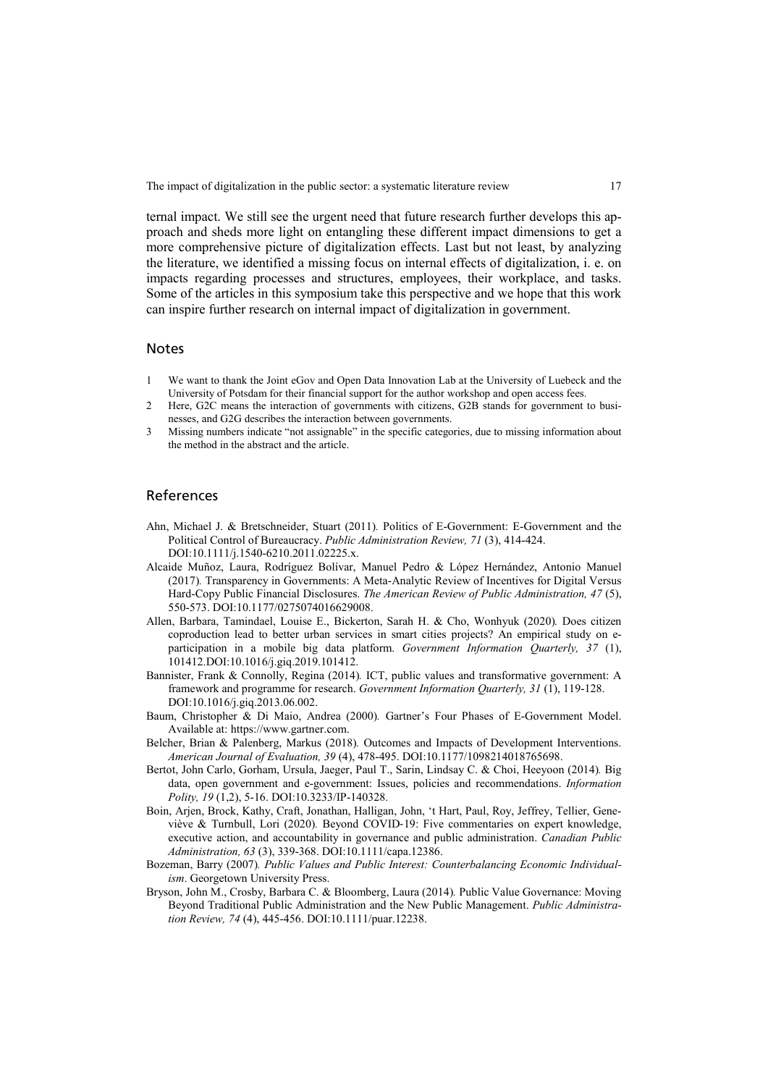The impact of digitalization in the public sector: a systematic literature review 17

ternal impact. We still see the urgent need that future research further develops this approach and sheds more light on entangling these different impact dimensions to get a more comprehensive picture of digitalization effects. Last but not least, by analyzing the literature, we identified a missing focus on internal effects of digitalization, i. e. on impacts regarding processes and structures, employees, their workplace, and tasks. Some of the articles in this symposium take this perspective and we hope that this work can inspire further research on internal impact of digitalization in government.

#### Notes

- <span id="page-16-0"></span>1 We want to thank the Joint eGov and Open Data Innovation Lab at the University of Luebeck and the University of Potsdam for their financial support for the author workshop and open access fees.
- <span id="page-16-1"></span>2 Here, G2C means the interaction of governments with citizens, G2B stands for government to businesses, and G2G describes the interaction between governments.
- <span id="page-16-2"></span>3 Missing numbers indicate "not assignable" in the specific categories, due to missing information about the method in the abstract and the article.

#### References

- Ahn, Michael J. & Bretschneider, Stuart (2011)*.* Politics of E-Government: E-Government and the Political Control of Bureaucracy. *Public Administration Review, 71* (3), 414-424. DOI:10.1111/j.1540-6210.2011.02225.x.
- Alcaide Muñoz, Laura, Rodríguez Bolívar, Manuel Pedro & López Hernández, Antonio Manuel (2017)*.* Transparency in Governments: A Meta-Analytic Review of Incentives for Digital Versus Hard-Copy Public Financial Disclosures. *The American Review of Public Administration, 47* (5), 550-573. DOI:10.1177/0275074016629008.
- Allen, Barbara, Tamindael, Louise E., Bickerton, Sarah H. & Cho, Wonhyuk (2020)*.* Does citizen coproduction lead to better urban services in smart cities projects? An empirical study on eparticipation in a mobile big data platform. *Government Information Quarterly, 37* (1), 101412.DOI:10.1016/j.giq.2019.101412.
- Bannister, Frank & Connolly, Regina (2014)*.* ICT, public values and transformative government: A framework and programme for research. *Government Information Quarterly, 31* (1), 119-128. DOI:10.1016/j.giq.2013.06.002.
- Baum, Christopher & Di Maio, Andrea (2000)*.* Gartner's Four Phases of E-Government Model. Available at: https://www.gartner.com.
- Belcher, Brian & Palenberg, Markus (2018)*.* Outcomes and Impacts of Development Interventions. *American Journal of Evaluation, 39* (4), 478-495. DOI:10.1177/1098214018765698.
- Bertot, John Carlo, Gorham, Ursula, Jaeger, Paul T., Sarin, Lindsay C. & Choi, Heeyoon (2014)*.* Big data, open government and e-government: Issues, policies and recommendations. *Information Polity, 19* (1,2), 5-16. DOI:10.3233/IP-140328.
- Boin, Arjen, Brock, Kathy, Craft, Jonathan, Halligan, John, 't Hart, Paul, Roy, Jeffrey, Tellier, Geneviève & Turnbull, Lori (2020)*.* Beyond COVID‐19: Five commentaries on expert knowledge, executive action, and accountability in governance and public administration. *Canadian Public Administration, 63* (3), 339-368. DOI:10.1111/capa.12386.
- Bozeman, Barry (2007)*. Public Values and Public Interest: Counterbalancing Economic Individualism*. Georgetown University Press.
- Bryson, John M., Crosby, Barbara C. & Bloomberg, Laura (2014)*.* Public Value Governance: Moving Beyond Traditional Public Administration and the New Public Management. *Public Administration Review, 74* (4), 445-456. DOI:10.1111/puar.12238.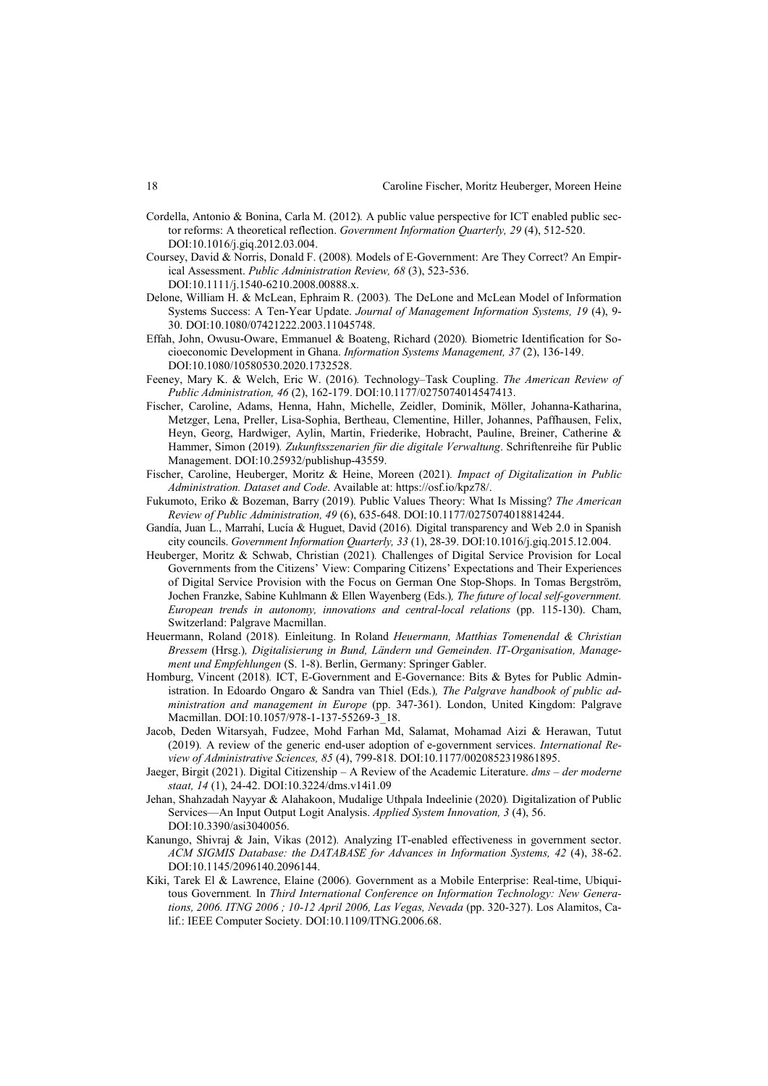- Cordella, Antonio & Bonina, Carla M. (2012)*.* A public value perspective for ICT enabled public sector reforms: A theoretical reflection. *Government Information Quarterly, 29* (4), 512-520. DOI:10.1016/j.giq.2012.03.004.
- Coursey, David & Norris, Donald F. (2008)*.* Models of E‐Government: Are They Correct? An Empirical Assessment. *Public Administration Review, 68* (3), 523-536. DOI:10.1111/j.1540-6210.2008.00888.x.
- Delone, William H. & McLean, Ephraim R. (2003)*.* The DeLone and McLean Model of Information Systems Success: A Ten-Year Update. *Journal of Management Information Systems, 19* (4), 9- 30. DOI:10.1080/07421222.2003.11045748.
- Effah, John, Owusu-Oware, Emmanuel & Boateng, Richard (2020)*.* Biometric Identification for Socioeconomic Development in Ghana. *Information Systems Management, 37* (2), 136-149. DOI:10.1080/10580530.2020.1732528.
- Feeney, Mary K. & Welch, Eric W. (2016)*.* Technology–Task Coupling. *The American Review of Public Administration, 46* (2), 162-179. DOI:10.1177/0275074014547413.
- Fischer, Caroline, Adams, Henna, Hahn, Michelle, Zeidler, Dominik, Möller, Johanna-Katharina, Metzger, Lena, Preller, Lisa-Sophia, Bertheau, Clementine, Hiller, Johannes, Paffhausen, Felix, Heyn, Georg, Hardwiger, Aylin, Martin, Friederike, Hobracht, Pauline, Breiner, Catherine & Hammer, Simon (2019)*. Zukunftsszenarien für die digitale Verwaltung*. Schriftenreihe für Public Management. DOI:10.25932/publishup-43559.
- Fischer, Caroline, Heuberger, Moritz & Heine, Moreen (2021)*. Impact of Digitalization in Public Administration. Dataset and Code*. Available at: https://osf.io/kpz78/.
- Fukumoto, Eriko & Bozeman, Barry (2019)*.* Public Values Theory: What Is Missing? *The American Review of Public Administration, 49* (6), 635-648. DOI:10.1177/0275074018814244.
- Gandía, Juan L., Marrahí, Lucía & Huguet, David (2016)*.* Digital transparency and Web 2.0 in Spanish city councils. *Government Information Quarterly, 33* (1), 28-39. DOI:10.1016/j.giq.2015.12.004.
- Heuberger, Moritz & Schwab, Christian (2021)*.* Challenges of Digital Service Provision for Local Governments from the Citizens' View: Comparing Citizens' Expectations and Their Experiences of Digital Service Provision with the Focus on German One Stop-Shops. In Tomas Bergström, Jochen Franzke, Sabine Kuhlmann & Ellen Wayenberg (Eds.)*, The future of local self-government. European trends in autonomy, innovations and central-local relations* (pp. 115-130). Cham, Switzerland: Palgrave Macmillan.
- Heuermann, Roland (2018)*.* Einleitung. In Roland *Heuermann, Matthias Tomenendal & Christian Bressem* (Hrsg.)*, Digitalisierung in Bund, Ländern und Gemeinden. IT-Organisation, Management und Empfehlungen* (S. 1-8). Berlin, Germany: Springer Gabler.
- Homburg, Vincent (2018). ICT, E-Government and E-Governance: Bits & Bytes for Public Administration. In Edoardo Ongaro & Sandra van Thiel (Eds.)*, The Palgrave handbook of public administration and management in Europe* (pp. 347-361). London, United Kingdom: Palgrave Macmillan. DOI:10.1057/978-1-137-55269-3\_18.
- Jacob, Deden Witarsyah, Fudzee, Mohd Farhan Md, Salamat, Mohamad Aizi & Herawan, Tutut (2019)*.* A review of the generic end-user adoption of e-government services. *International Review of Administrative Sciences, 85* (4), 799-818. DOI:10.1177/0020852319861895.
- Jaeger, Birgit (2021). Digital Citizenship A Review of the Academic Literature. *dms ‒ der moderne staat, 14* (1), 24-42. DOI:10.3224/dms.v14i1.09
- Jehan, Shahzadah Nayyar & Alahakoon, Mudalige Uthpala Indeelinie (2020)*.* Digitalization of Public Services—An Input Output Logit Analysis. *Applied System Innovation, 3* (4), 56. DOI:10.3390/asi3040056.
- Kanungo, Shivraj & Jain, Vikas (2012)*.* Analyzing IT-enabled effectiveness in government sector. *ACM SIGMIS Database: the DATABASE for Advances in Information Systems, 42* (4), 38-62. DOI:10.1145/2096140.2096144.
- Kiki, Tarek El & Lawrence, Elaine (2006)*.* Government as a Mobile Enterprise: Real-time, Ubiquitous Government*.* In *Third International Conference on Information Technology: New Generations, 2006. ITNG 2006 ; 10-12 April 2006, Las Vegas, Nevada* (pp. 320-327). Los Alamitos, Calif.: IEEE Computer Society. DOI:10.1109/ITNG.2006.68.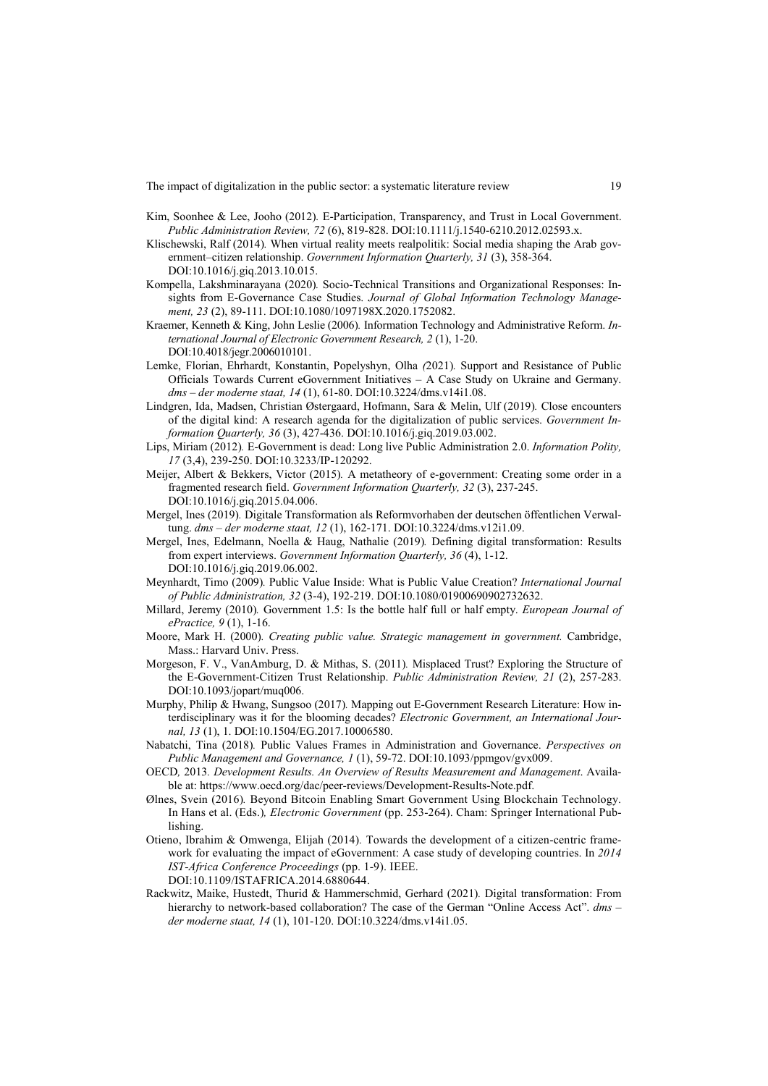The impact of digitalization in the public sector: a systematic literature review 19

- Kim, Soonhee & Lee, Jooho (2012)*.* E-Participation, Transparency, and Trust in Local Government. *Public Administration Review, 72* (6), 819-828. DOI:10.1111/j.1540-6210.2012.02593.x.
- Klischewski, Ralf (2014)*.* When virtual reality meets realpolitik: Social media shaping the Arab government–citizen relationship. *Government Information Quarterly, 31* (3), 358-364. DOI:10.1016/j.giq.2013.10.015.
- Kompella, Lakshminarayana (2020)*.* Socio-Technical Transitions and Organizational Responses: Insights from E-Governance Case Studies. *Journal of Global Information Technology Management, 23* (2), 89-111. DOI:10.1080/1097198X.2020.1752082.
- Kraemer, Kenneth & King, John Leslie (2006)*.* Information Technology and Administrative Reform. *International Journal of Electronic Government Research, 2* (1), 1-20. DOI:10.4018/jegr.2006010101.
- Lemke, Florian, Ehrhardt, Konstantin, Popelyshyn, Olha *(*2021)*.* Support and Resistance of Public Officials Towards Current eGovernment Initiatives – A Case Study on Ukraine and Germany. *dms ‒ der moderne staat, 14* (1), 61-80. DOI:10.3224/dms.v14i1.08.
- Lindgren, Ida, Madsen, Christian Østergaard, Hofmann, Sara & Melin, Ulf (2019)*.* Close encounters of the digital kind: A research agenda for the digitalization of public services. *Government Information Quarterly, 36* (3), 427-436. DOI:10.1016/j.giq.2019.03.002.
- Lips, Miriam (2012)*.* E-Government is dead: Long live Public Administration 2.0. *Information Polity, 17* (3,4), 239-250. DOI:10.3233/IP-120292.
- Meijer, Albert & Bekkers, Victor (2015)*.* A metatheory of e-government: Creating some order in a fragmented research field. *Government Information Quarterly, 32* (3), 237-245. DOI:10.1016/j.giq.2015.04.006.
- Mergel, Ines (2019)*.* Digitale Transformation als Reformvorhaben der deutschen öffentlichen Verwaltung. *dms ‒ der moderne staat, 12* (1), 162-171. DOI:10.3224/dms.v12i1.09.
- Mergel, Ines, Edelmann, Noella & Haug, Nathalie (2019)*.* Defining digital transformation: Results from expert interviews. *Government Information Quarterly, 36* (4), 1-12. DOI:10.1016/j.giq.2019.06.002.
- Meynhardt, Timo (2009)*.* Public Value Inside: What is Public Value Creation? *International Journal of Public Administration, 32* (3-4), 192-219. DOI:10.1080/01900690902732632.
- Millard, Jeremy (2010)*.* Government 1.5: Is the bottle half full or half empty. *European Journal of ePractice, 9* (1), 1-16.
- Moore, Mark H. (2000)*. Creating public value. Strategic management in government.* Cambridge, Mass.: Harvard Univ. Press.
- Morgeson, F. V., VanAmburg, D. & Mithas, S. (2011)*.* Misplaced Trust? Exploring the Structure of the E-Government-Citizen Trust Relationship. *Public Administration Review, 21* (2), 257-283. DOI:10.1093/jopart/muq006.
- Murphy, Philip & Hwang, Sungsoo (2017)*.* Mapping out E-Government Research Literature: How interdisciplinary was it for the blooming decades? *Electronic Government, an International Journal, 13* (1), 1. DOI:10.1504/EG.2017.10006580.
- Nabatchi, Tina (2018)*.* Public Values Frames in Administration and Governance. *Perspectives on Public Management and Governance, 1* (1), 59-72. DOI:10.1093/ppmgov/gvx009.
- OECD*,* 2013*. Development Results. An Overview of Results Measurement and Management*. Available at: https://www.oecd.org/dac/peer-reviews/Development-Results-Note.pdf.
- Ølnes, Svein (2016)*.* Beyond Bitcoin Enabling Smart Government Using Blockchain Technology. In Hans et al. (Eds.)*, Electronic Government* (pp. 253-264). Cham: Springer International Publishing.
- Otieno, Ibrahim & Omwenga, Elijah (2014)*.* Towards the development of a citizen-centric framework for evaluating the impact of eGovernment: A case study of developing countries. In *2014 IST-Africa Conference Proceedings* (pp. 1-9). IEEE. DOI:10.1109/ISTAFRICA.2014.6880644.
- Rackwitz, Maike, Hustedt, Thurid & Hammerschmid, Gerhard (2021)*.* Digital transformation: From hierarchy to network-based collaboration? The case of the German "Online Access Act". *dms der moderne staat, 14* (1), 101-120. DOI:10.3224/dms.v14i1.05.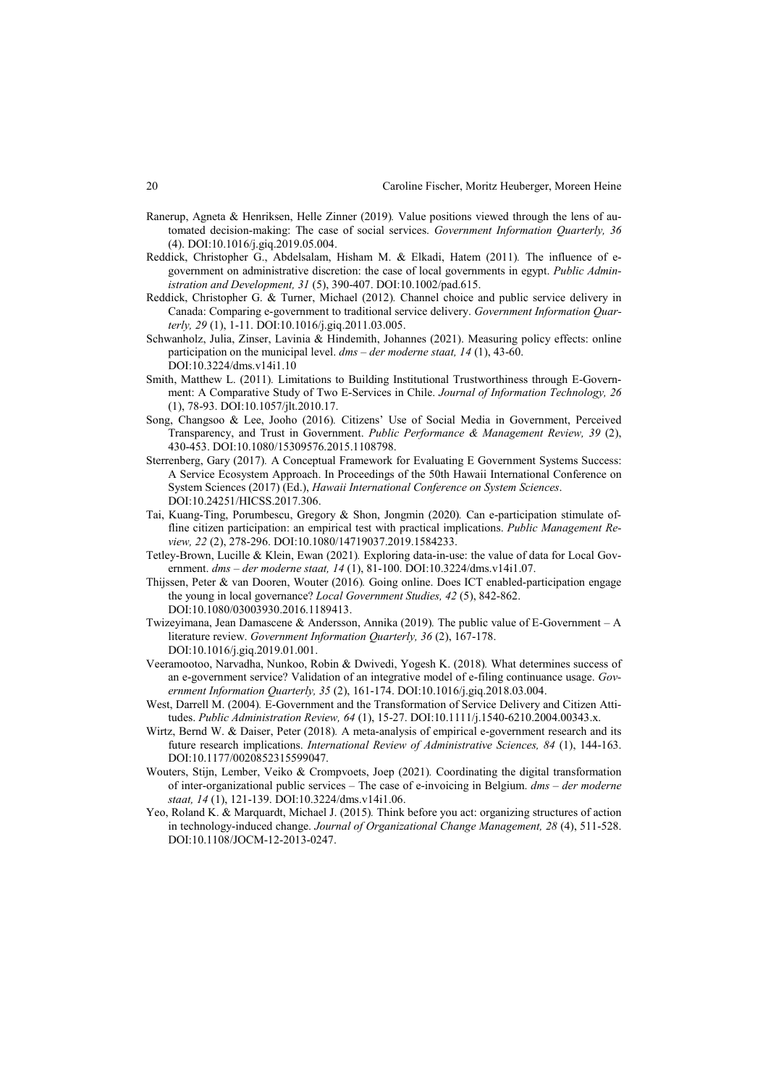- Ranerup, Agneta & Henriksen, Helle Zinner (2019)*.* Value positions viewed through the lens of automated decision-making: The case of social services. *Government Information Quarterly, 36* (4). DOI:10.1016/j.giq.2019.05.004.
- Reddick, Christopher G., Abdelsalam, Hisham M. & Elkadi, Hatem (2011)*.* The influence of egovernment on administrative discretion: the case of local governments in egypt. *Public Administration and Development, 31* (5), 390-407. DOI:10.1002/pad.615.
- Reddick, Christopher G. & Turner, Michael (2012)*.* Channel choice and public service delivery in Canada: Comparing e-government to traditional service delivery. *Government Information Quarterly, 29* (1), 1-11. DOI:10.1016/j.giq.2011.03.005.
- Schwanholz, Julia, Zinser, Lavinia & Hindemith, Johannes (2021). Measuring policy effects: online participation on the municipal level. *dms – der moderne staat, 14* (1), 43-60. DOI:10.3224/dms.v14i1.10
- Smith, Matthew L. (2011)*.* Limitations to Building Institutional Trustworthiness through E-Government: A Comparative Study of Two E-Services in Chile. *Journal of Information Technology, 26* (1), 78-93. DOI:10.1057/jlt.2010.17.
- Song, Changsoo & Lee, Jooho (2016)*.* Citizens' Use of Social Media in Government, Perceived Transparency, and Trust in Government. *Public Performance & Management Review, 39* (2), 430-453. DOI:10.1080/15309576.2015.1108798.
- Sterrenberg, Gary (2017)*.* A Conceptual Framework for Evaluating E Government Systems Success: A Service Ecosystem Approach. In Proceedings of the 50th Hawaii International Conference on System Sciences (2017) (Ed.), *Hawaii International Conference on System Sciences*. DOI:10.24251/HICSS.2017.306.
- Tai, Kuang-Ting, Porumbescu, Gregory & Shon, Jongmin (2020)*.* Can e-participation stimulate offline citizen participation: an empirical test with practical implications. *Public Management Review, 22* (2), 278-296. DOI:10.1080/14719037.2019.1584233.
- Tetley-Brown, Lucille & Klein, Ewan (2021)*.* Exploring data-in-use: the value of data for Local Government. *dms ‒ der moderne staat, 14* (1), 81-100. DOI:10.3224/dms.v14i1.07.
- Thijssen, Peter & van Dooren, Wouter (2016)*.* Going online. Does ICT enabled-participation engage the young in local governance? *Local Government Studies, 42* (5), 842-862. DOI:10.1080/03003930.2016.1189413.
- Twizeyimana, Jean Damascene & Andersson, Annika (2019)*.* The public value of E-Government A literature review. *Government Information Quarterly, 36* (2), 167-178. DOI:10.1016/j.giq.2019.01.001.
- Veeramootoo, Narvadha, Nunkoo, Robin & Dwivedi, Yogesh K. (2018)*.* What determines success of an e-government service? Validation of an integrative model of e-filing continuance usage. *Government Information Quarterly, 35* (2), 161-174. DOI:10.1016/j.giq.2018.03.004.
- West, Darrell M. (2004)*.* E-Government and the Transformation of Service Delivery and Citizen Attitudes. *Public Administration Review, 64* (1), 15-27. DOI:10.1111/j.1540-6210.2004.00343.x.
- Wirtz, Bernd W. & Daiser, Peter (2018)*.* A meta-analysis of empirical e-government research and its future research implications. *International Review of Administrative Sciences, 84* (1), 144-163. DOI:10.1177/0020852315599047.
- Wouters, Stijn, Lember, Veiko & Crompvoets, Joep (2021)*.* Coordinating the digital transformation of inter-organizational public services – The case of e-invoicing in Belgium. *dms ‒ der moderne staat, 14* (1), 121-139. DOI:10.3224/dms.v14i1.06.
- Yeo, Roland K. & Marquardt, Michael J. (2015)*.* Think before you act: organizing structures of action in technology-induced change. *Journal of Organizational Change Management, 28* (4), 511-528. DOI:10.1108/JOCM-12-2013-0247.